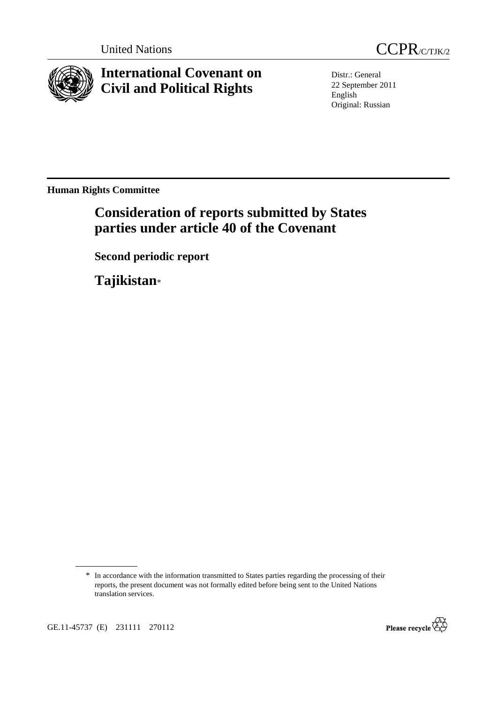



**International Covenant on Civil and Political Rights**

Distr.: General 22 September 2011 English Original: Russian

**Human Rights Committee** 

# **Consideration of reports submitted by States parties under article 40 of the Covenant**

 **Second periodic report** 

 **Tajikistan**\*



<sup>\*</sup> In accordance with the information transmitted to States parties regarding the processing of their reports, the present document was not formally edited before being sent to the United Nations translation services.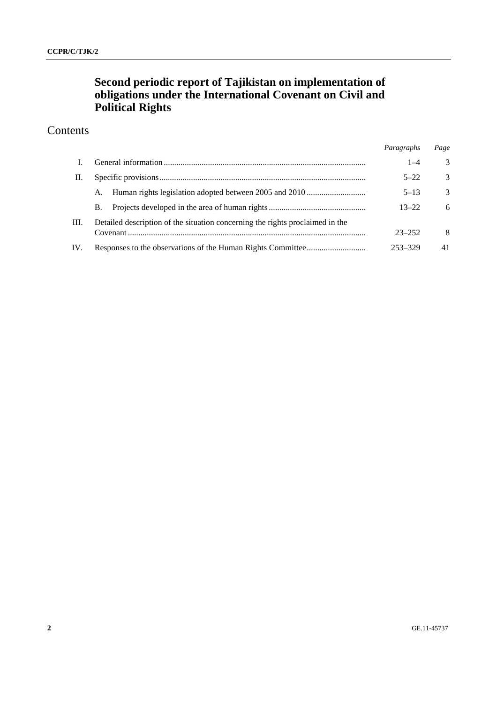## **Second periodic report of Tajikistan on implementation of obligations under the International Covenant on Civil and Political Rights**

## Contents

|      |                                                                               | Paragraphs | Page          |
|------|-------------------------------------------------------------------------------|------------|---------------|
|      |                                                                               | $1 - 4$    | 3             |
| П.   |                                                                               | $5 - 22$   | 3             |
|      | A.                                                                            | $5 - 13$   | $\mathcal{F}$ |
|      | В.                                                                            | $13 - 22$  | 6             |
| III. | Detailed description of the situation concerning the rights proclaimed in the |            |               |
|      |                                                                               | $23 - 252$ | 8             |
| IV.  |                                                                               | 253-329    | 41            |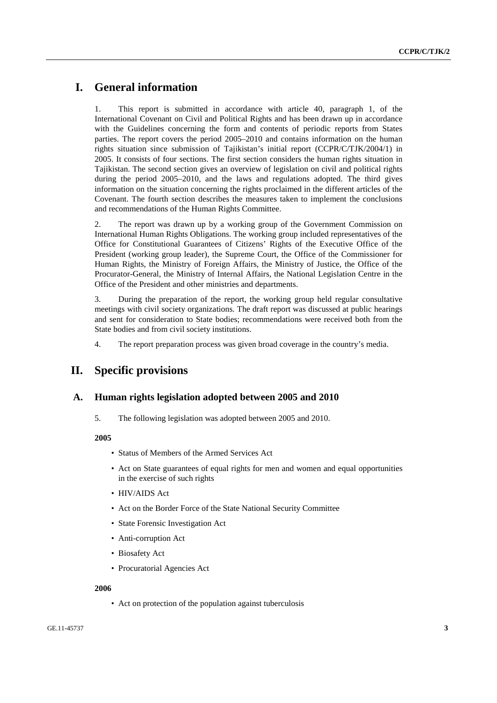## **I. General information**

1. This report is submitted in accordance with article 40, paragraph 1, of the International Covenant on Civil and Political Rights and has been drawn up in accordance with the Guidelines concerning the form and contents of periodic reports from States parties. The report covers the period 2005–2010 and contains information on the human rights situation since submission of Tajikistan's initial report (CCPR/C/TJK/2004/1) in 2005. It consists of four sections. The first section considers the human rights situation in Tajikistan. The second section gives an overview of legislation on civil and political rights during the period 2005–2010, and the laws and regulations adopted. The third gives information on the situation concerning the rights proclaimed in the different articles of the Covenant. The fourth section describes the measures taken to implement the conclusions and recommendations of the Human Rights Committee.

2. The report was drawn up by a working group of the Government Commission on International Human Rights Obligations. The working group included representatives of the Office for Constitutional Guarantees of Citizens' Rights of the Executive Office of the President (working group leader), the Supreme Court, the Office of the Commissioner for Human Rights, the Ministry of Foreign Affairs, the Ministry of Justice, the Office of the Procurator-General, the Ministry of Internal Affairs, the National Legislation Centre in the Office of the President and other ministries and departments.

3. During the preparation of the report, the working group held regular consultative meetings with civil society organizations. The draft report was discussed at public hearings and sent for consideration to State bodies; recommendations were received both from the State bodies and from civil society institutions.

4. The report preparation process was given broad coverage in the country's media.

## **II. Specific provisions**

## **A. Human rights legislation adopted between 2005 and 2010**

5. The following legislation was adopted between 2005 and 2010.

## **2005**

- Status of Members of the Armed Services Act
- Act on State guarantees of equal rights for men and women and equal opportunities in the exercise of such rights
- HIV/AIDS Act
- Act on the Border Force of the State National Security Committee
- State Forensic Investigation Act
- Anti-corruption Act
- Biosafety Act
- Procuratorial Agencies Act

#### **2006**

• Act on protection of the population against tuberculosis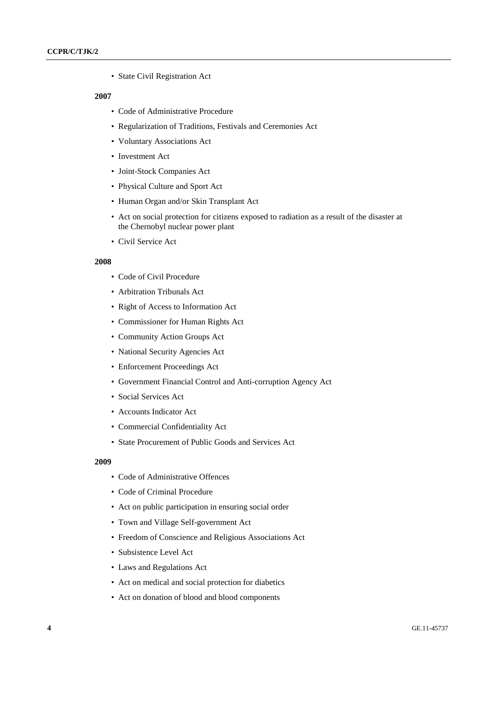• State Civil Registration Act

#### **2007**

- Code of Administrative Procedure
- Regularization of Traditions, Festivals and Ceremonies Act
- Voluntary Associations Act
- Investment Act
- Joint-Stock Companies Act
- Physical Culture and Sport Act
- Human Organ and/or Skin Transplant Act
- Act on social protection for citizens exposed to radiation as a result of the disaster at the Chernobyl nuclear power plant
- Civil Service Act

## **2008**

- Code of Civil Procedure
- Arbitration Tribunals Act
- Right of Access to Information Act
- Commissioner for Human Rights Act
- Community Action Groups Act
- National Security Agencies Act
- Enforcement Proceedings Act
- Government Financial Control and Anti-corruption Agency Act
- Social Services Act
- Accounts Indicator Act
- Commercial Confidentiality Act
- State Procurement of Public Goods and Services Act

#### **2009**

- Code of Administrative Offences
- Code of Criminal Procedure
- Act on public participation in ensuring social order
- Town and Village Self-government Act
- Freedom of Conscience and Religious Associations Act
- Subsistence Level Act
- Laws and Regulations Act
- Act on medical and social protection for diabetics
- Act on donation of blood and blood components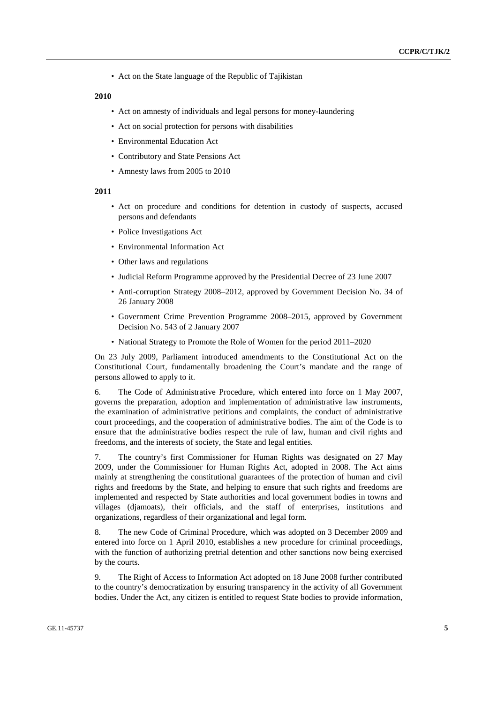• Act on the State language of the Republic of Tajikistan

#### **2010**

- Act on amnesty of individuals and legal persons for money-laundering
- Act on social protection for persons with disabilities
- Environmental Education Act
- Contributory and State Pensions Act
- Amnesty laws from 2005 to 2010

### **2011**

- Act on procedure and conditions for detention in custody of suspects, accused persons and defendants
- Police Investigations Act
- Environmental Information Act
- Other laws and regulations
- Judicial Reform Programme approved by the Presidential Decree of 23 June 2007
- Anti-corruption Strategy 2008–2012, approved by Government Decision No. 34 of 26 January 2008
- Government Crime Prevention Programme 2008–2015, approved by Government Decision No. 543 of 2 January 2007
- National Strategy to Promote the Role of Women for the period 2011–2020

On 23 July 2009, Parliament introduced amendments to the Constitutional Act on the Constitutional Court, fundamentally broadening the Court's mandate and the range of persons allowed to apply to it.

6. The Code of Administrative Procedure, which entered into force on 1 May 2007, governs the preparation, adoption and implementation of administrative law instruments, the examination of administrative petitions and complaints, the conduct of administrative court proceedings, and the cooperation of administrative bodies. The aim of the Code is to ensure that the administrative bodies respect the rule of law, human and civil rights and freedoms, and the interests of society, the State and legal entities.

7. The country's first Commissioner for Human Rights was designated on 27 May 2009, under the Commissioner for Human Rights Act, adopted in 2008. The Act aims mainly at strengthening the constitutional guarantees of the protection of human and civil rights and freedoms by the State, and helping to ensure that such rights and freedoms are implemented and respected by State authorities and local government bodies in towns and villages (djamoats), their officials, and the staff of enterprises, institutions and organizations, regardless of their organizational and legal form.

8. The new Code of Criminal Procedure, which was adopted on 3 December 2009 and entered into force on 1 April 2010, establishes a new procedure for criminal proceedings, with the function of authorizing pretrial detention and other sanctions now being exercised by the courts.

9. The Right of Access to Information Act adopted on 18 June 2008 further contributed to the country's democratization by ensuring transparency in the activity of all Government bodies. Under the Act, any citizen is entitled to request State bodies to provide information,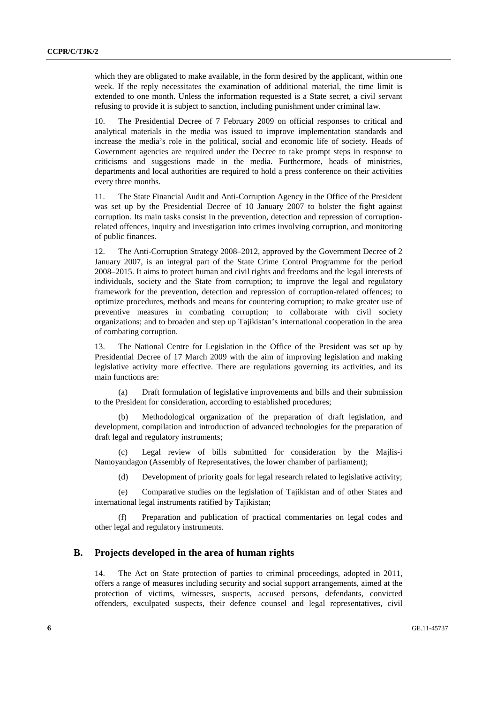which they are obligated to make available, in the form desired by the applicant, within one week. If the reply necessitates the examination of additional material, the time limit is extended to one month. Unless the information requested is a State secret, a civil servant refusing to provide it is subject to sanction, including punishment under criminal law.

10. The Presidential Decree of 7 February 2009 on official responses to critical and analytical materials in the media was issued to improve implementation standards and increase the media's role in the political, social and economic life of society. Heads of Government agencies are required under the Decree to take prompt steps in response to criticisms and suggestions made in the media. Furthermore, heads of ministries, departments and local authorities are required to hold a press conference on their activities every three months.

11. The State Financial Audit and Anti-Corruption Agency in the Office of the President was set up by the Presidential Decree of 10 January 2007 to bolster the fight against corruption. Its main tasks consist in the prevention, detection and repression of corruptionrelated offences, inquiry and investigation into crimes involving corruption, and monitoring of public finances.

12. The Anti-Corruption Strategy 2008–2012, approved by the Government Decree of 2 January 2007, is an integral part of the State Crime Control Programme for the period 2008–2015. It aims to protect human and civil rights and freedoms and the legal interests of individuals, society and the State from corruption; to improve the legal and regulatory framework for the prevention, detection and repression of corruption-related offences; to optimize procedures, methods and means for countering corruption; to make greater use of preventive measures in combating corruption; to collaborate with civil society organizations; and to broaden and step up Tajikistan's international cooperation in the area of combating corruption.

13. The National Centre for Legislation in the Office of the President was set up by Presidential Decree of 17 March 2009 with the aim of improving legislation and making legislative activity more effective. There are regulations governing its activities, and its main functions are:

(a) Draft formulation of legislative improvements and bills and their submission to the President for consideration, according to established procedures;

(b) Methodological organization of the preparation of draft legislation, and development, compilation and introduction of advanced technologies for the preparation of draft legal and regulatory instruments;

(c) Legal review of bills submitted for consideration by the Majlis-i Namoyandagon (Assembly of Representatives, the lower chamber of parliament);

(d) Development of priority goals for legal research related to legislative activity;

(e) Comparative studies on the legislation of Tajikistan and of other States and international legal instruments ratified by Tajikistan;

Preparation and publication of practical commentaries on legal codes and other legal and regulatory instruments.

## **B. Projects developed in the area of human rights**

14. The Act on State protection of parties to criminal proceedings, adopted in 2011, offers a range of measures including security and social support arrangements, aimed at the protection of victims, witnesses, suspects, accused persons, defendants, convicted offenders, exculpated suspects, their defence counsel and legal representatives, civil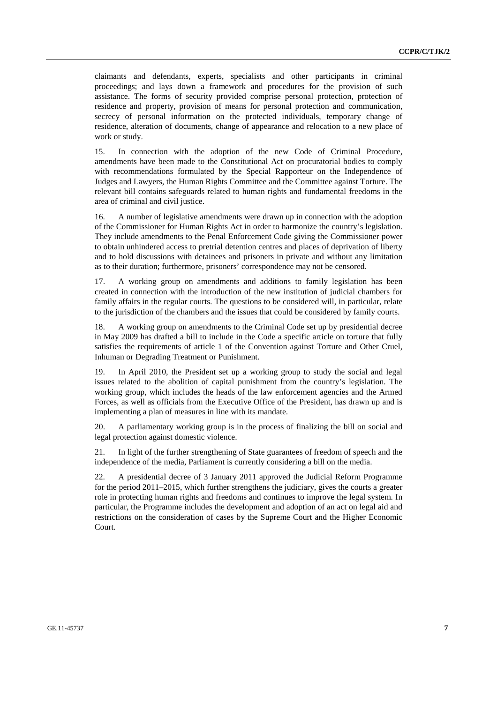claimants and defendants, experts, specialists and other participants in criminal proceedings; and lays down a framework and procedures for the provision of such assistance. The forms of security provided comprise personal protection, protection of residence and property, provision of means for personal protection and communication, secrecy of personal information on the protected individuals, temporary change of residence, alteration of documents, change of appearance and relocation to a new place of work or study.

15. In connection with the adoption of the new Code of Criminal Procedure, amendments have been made to the Constitutional Act on procuratorial bodies to comply with recommendations formulated by the Special Rapporteur on the Independence of Judges and Lawyers, the Human Rights Committee and the Committee against Torture. The relevant bill contains safeguards related to human rights and fundamental freedoms in the area of criminal and civil justice.

16. A number of legislative amendments were drawn up in connection with the adoption of the Commissioner for Human Rights Act in order to harmonize the country's legislation. They include amendments to the Penal Enforcement Code giving the Commissioner power to obtain unhindered access to pretrial detention centres and places of deprivation of liberty and to hold discussions with detainees and prisoners in private and without any limitation as to their duration; furthermore, prisoners' correspondence may not be censored.

17. A working group on amendments and additions to family legislation has been created in connection with the introduction of the new institution of judicial chambers for family affairs in the regular courts. The questions to be considered will, in particular, relate to the jurisdiction of the chambers and the issues that could be considered by family courts.

18. A working group on amendments to the Criminal Code set up by presidential decree in May 2009 has drafted a bill to include in the Code a specific article on torture that fully satisfies the requirements of article 1 of the Convention against Torture and Other Cruel, Inhuman or Degrading Treatment or Punishment.

19. In April 2010, the President set up a working group to study the social and legal issues related to the abolition of capital punishment from the country's legislation. The working group, which includes the heads of the law enforcement agencies and the Armed Forces, as well as officials from the Executive Office of the President, has drawn up and is implementing a plan of measures in line with its mandate.

20. A parliamentary working group is in the process of finalizing the bill on social and legal protection against domestic violence.

21. In light of the further strengthening of State guarantees of freedom of speech and the independence of the media, Parliament is currently considering a bill on the media.

22. A presidential decree of 3 January 2011 approved the Judicial Reform Programme for the period 2011–2015, which further strengthens the judiciary, gives the courts a greater role in protecting human rights and freedoms and continues to improve the legal system. In particular, the Programme includes the development and adoption of an act on legal aid and restrictions on the consideration of cases by the Supreme Court and the Higher Economic Court.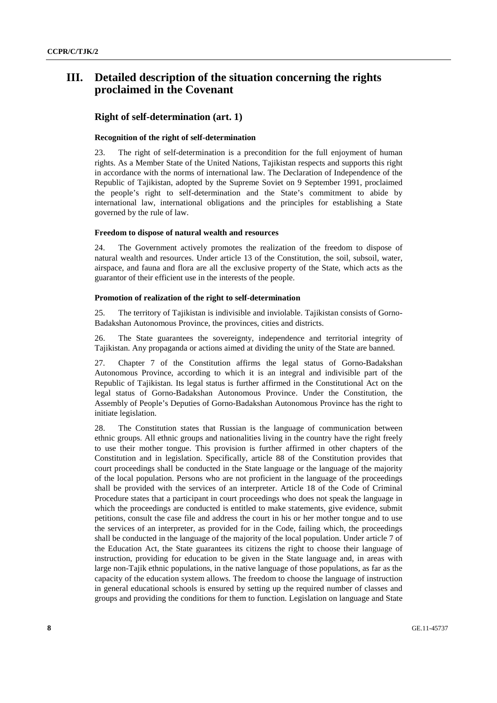## **III. Detailed description of the situation concerning the rights proclaimed in the Covenant**

## **Right of self-determination (art. 1)**

## **Recognition of the right of self-determination**

23. The right of self-determination is a precondition for the full enjoyment of human rights. As a Member State of the United Nations, Tajikistan respects and supports this right in accordance with the norms of international law. The Declaration of Independence of the Republic of Tajikistan, adopted by the Supreme Soviet on 9 September 1991, proclaimed the people's right to self-determination and the State's commitment to abide by international law, international obligations and the principles for establishing a State governed by the rule of law.

### **Freedom to dispose of natural wealth and resources**

24. The Government actively promotes the realization of the freedom to dispose of natural wealth and resources. Under article 13 of the Constitution, the soil, subsoil, water, airspace, and fauna and flora are all the exclusive property of the State, which acts as the guarantor of their efficient use in the interests of the people.

## **Promotion of realization of the right to self-determination**

25. The territory of Tajikistan is indivisible and inviolable. Tajikistan consists of Gorno-Badakshan Autonomous Province, the provinces, cities and districts.

26. The State guarantees the sovereignty, independence and territorial integrity of Tajikistan. Any propaganda or actions aimed at dividing the unity of the State are banned.

27. Chapter 7 of the Constitution affirms the legal status of Gorno-Badakshan Autonomous Province, according to which it is an integral and indivisible part of the Republic of Tajikistan. Its legal status is further affirmed in the Constitutional Act on the legal status of Gorno-Badakshan Autonomous Province. Under the Constitution, the Assembly of People's Deputies of Gorno-Badakshan Autonomous Province has the right to initiate legislation.

28. The Constitution states that Russian is the language of communication between ethnic groups. All ethnic groups and nationalities living in the country have the right freely to use their mother tongue. This provision is further affirmed in other chapters of the Constitution and in legislation. Specifically, article 88 of the Constitution provides that court proceedings shall be conducted in the State language or the language of the majority of the local population. Persons who are not proficient in the language of the proceedings shall be provided with the services of an interpreter. Article 18 of the Code of Criminal Procedure states that a participant in court proceedings who does not speak the language in which the proceedings are conducted is entitled to make statements, give evidence, submit petitions, consult the case file and address the court in his or her mother tongue and to use the services of an interpreter, as provided for in the Code, failing which, the proceedings shall be conducted in the language of the majority of the local population. Under article 7 of the Education Act, the State guarantees its citizens the right to choose their language of instruction, providing for education to be given in the State language and, in areas with large non-Tajik ethnic populations, in the native language of those populations, as far as the capacity of the education system allows. The freedom to choose the language of instruction in general educational schools is ensured by setting up the required number of classes and groups and providing the conditions for them to function. Legislation on language and State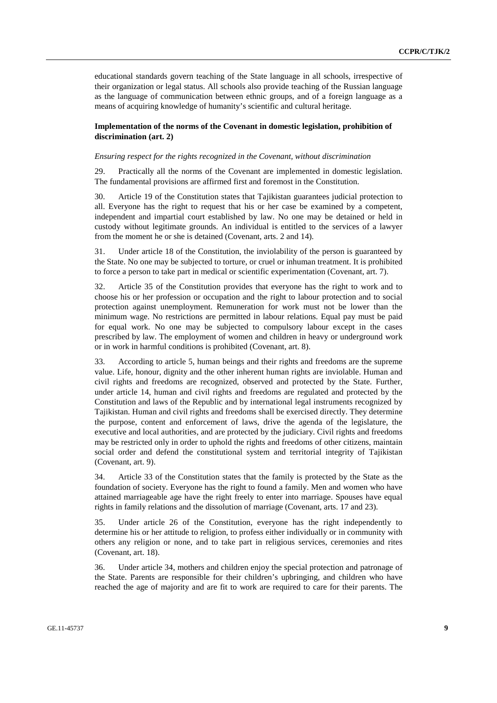educational standards govern teaching of the State language in all schools, irrespective of their organization or legal status. All schools also provide teaching of the Russian language as the language of communication between ethnic groups, and of a foreign language as a means of acquiring knowledge of humanity's scientific and cultural heritage.

## **Implementation of the norms of the Covenant in domestic legislation, prohibition of discrimination (art. 2)**

#### *Ensuring respect for the rights recognized in the Covenant, without discrimination*

29. Practically all the norms of the Covenant are implemented in domestic legislation. The fundamental provisions are affirmed first and foremost in the Constitution.

30. Article 19 of the Constitution states that Tajikistan guarantees judicial protection to all. Everyone has the right to request that his or her case be examined by a competent, independent and impartial court established by law. No one may be detained or held in custody without legitimate grounds. An individual is entitled to the services of a lawyer from the moment he or she is detained (Covenant, arts. 2 and 14).

31. Under article 18 of the Constitution, the inviolability of the person is guaranteed by the State. No one may be subjected to torture, or cruel or inhuman treatment. It is prohibited to force a person to take part in medical or scientific experimentation (Covenant, art. 7).

32. Article 35 of the Constitution provides that everyone has the right to work and to choose his or her profession or occupation and the right to labour protection and to social protection against unemployment. Remuneration for work must not be lower than the minimum wage. No restrictions are permitted in labour relations. Equal pay must be paid for equal work. No one may be subjected to compulsory labour except in the cases prescribed by law. The employment of women and children in heavy or underground work or in work in harmful conditions is prohibited (Covenant, art. 8).

33. According to article 5, human beings and their rights and freedoms are the supreme value. Life, honour, dignity and the other inherent human rights are inviolable. Human and civil rights and freedoms are recognized, observed and protected by the State. Further, under article 14, human and civil rights and freedoms are regulated and protected by the Constitution and laws of the Republic and by international legal instruments recognized by Tajikistan. Human and civil rights and freedoms shall be exercised directly. They determine the purpose, content and enforcement of laws, drive the agenda of the legislature, the executive and local authorities, and are protected by the judiciary. Civil rights and freedoms may be restricted only in order to uphold the rights and freedoms of other citizens, maintain social order and defend the constitutional system and territorial integrity of Tajikistan (Covenant, art. 9).

34. Article 33 of the Constitution states that the family is protected by the State as the foundation of society. Everyone has the right to found a family. Men and women who have attained marriageable age have the right freely to enter into marriage. Spouses have equal rights in family relations and the dissolution of marriage (Covenant, arts. 17 and 23).

35. Under article 26 of the Constitution, everyone has the right independently to determine his or her attitude to religion, to profess either individually or in community with others any religion or none, and to take part in religious services, ceremonies and rites (Covenant, art. 18).

36. Under article 34, mothers and children enjoy the special protection and patronage of the State. Parents are responsible for their children's upbringing, and children who have reached the age of majority and are fit to work are required to care for their parents. The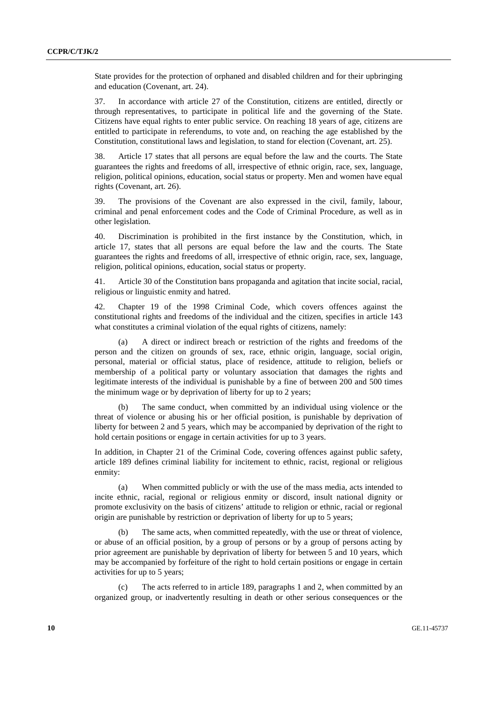State provides for the protection of orphaned and disabled children and for their upbringing and education (Covenant, art. 24).

37. In accordance with article 27 of the Constitution, citizens are entitled, directly or through representatives, to participate in political life and the governing of the State. Citizens have equal rights to enter public service. On reaching 18 years of age, citizens are entitled to participate in referendums, to vote and, on reaching the age established by the Constitution, constitutional laws and legislation, to stand for election (Covenant, art. 25).

38. Article 17 states that all persons are equal before the law and the courts. The State guarantees the rights and freedoms of all, irrespective of ethnic origin, race, sex, language, religion, political opinions, education, social status or property. Men and women have equal rights (Covenant, art. 26).

39. The provisions of the Covenant are also expressed in the civil, family, labour, criminal and penal enforcement codes and the Code of Criminal Procedure, as well as in other legislation.

40. Discrimination is prohibited in the first instance by the Constitution, which, in article 17, states that all persons are equal before the law and the courts. The State guarantees the rights and freedoms of all, irrespective of ethnic origin, race, sex, language, religion, political opinions, education, social status or property.

41. Article 30 of the Constitution bans propaganda and agitation that incite social, racial, religious or linguistic enmity and hatred.

42. Chapter 19 of the 1998 Criminal Code, which covers offences against the constitutional rights and freedoms of the individual and the citizen, specifies in article 143 what constitutes a criminal violation of the equal rights of citizens, namely:

(a) A direct or indirect breach or restriction of the rights and freedoms of the person and the citizen on grounds of sex, race, ethnic origin, language, social origin, personal, material or official status, place of residence, attitude to religion, beliefs or membership of a political party or voluntary association that damages the rights and legitimate interests of the individual is punishable by a fine of between 200 and 500 times the minimum wage or by deprivation of liberty for up to 2 years;

(b) The same conduct, when committed by an individual using violence or the threat of violence or abusing his or her official position, is punishable by deprivation of liberty for between 2 and 5 years, which may be accompanied by deprivation of the right to hold certain positions or engage in certain activities for up to 3 years.

In addition, in Chapter 21 of the Criminal Code, covering offences against public safety, article 189 defines criminal liability for incitement to ethnic, racist, regional or religious enmity:

(a) When committed publicly or with the use of the mass media, acts intended to incite ethnic, racial, regional or religious enmity or discord, insult national dignity or promote exclusivity on the basis of citizens' attitude to religion or ethnic, racial or regional origin are punishable by restriction or deprivation of liberty for up to 5 years;

(b) The same acts, when committed repeatedly, with the use or threat of violence, or abuse of an official position, by a group of persons or by a group of persons acting by prior agreement are punishable by deprivation of liberty for between 5 and 10 years, which may be accompanied by forfeiture of the right to hold certain positions or engage in certain activities for up to 5 years;

(c) The acts referred to in article 189, paragraphs 1 and 2, when committed by an organized group, or inadvertently resulting in death or other serious consequences or the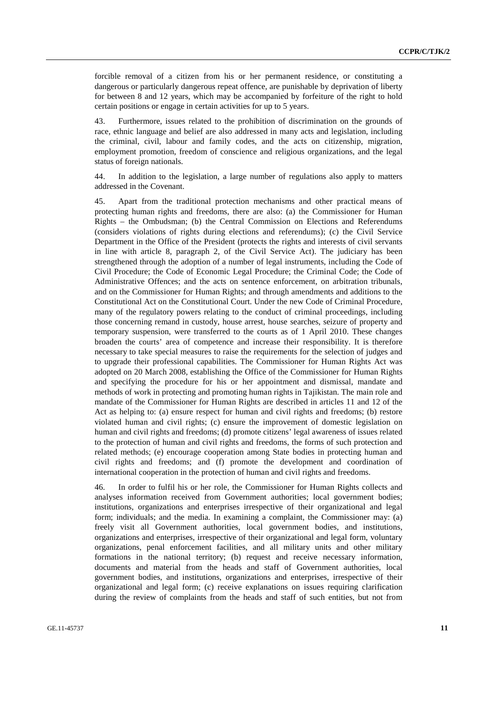forcible removal of a citizen from his or her permanent residence, or constituting a dangerous or particularly dangerous repeat offence, are punishable by deprivation of liberty for between 8 and 12 years, which may be accompanied by forfeiture of the right to hold certain positions or engage in certain activities for up to 5 years.

43. Furthermore, issues related to the prohibition of discrimination on the grounds of race, ethnic language and belief are also addressed in many acts and legislation, including the criminal, civil, labour and family codes, and the acts on citizenship, migration, employment promotion, freedom of conscience and religious organizations, and the legal status of foreign nationals.

44. In addition to the legislation, a large number of regulations also apply to matters addressed in the Covenant.

45. Apart from the traditional protection mechanisms and other practical means of protecting human rights and freedoms, there are also: (a) the Commissioner for Human Rights – the Ombudsman; (b) the Central Commission on Elections and Referendums (considers violations of rights during elections and referendums); (c) the Civil Service Department in the Office of the President (protects the rights and interests of civil servants in line with article 8, paragraph 2, of the Civil Service Act). The judiciary has been strengthened through the adoption of a number of legal instruments, including the Code of Civil Procedure; the Code of Economic Legal Procedure; the Criminal Code; the Code of Administrative Offences; and the acts on sentence enforcement, on arbitration tribunals, and on the Commissioner for Human Rights; and through amendments and additions to the Constitutional Act on the Constitutional Court. Under the new Code of Criminal Procedure, many of the regulatory powers relating to the conduct of criminal proceedings, including those concerning remand in custody, house arrest, house searches, seizure of property and temporary suspension, were transferred to the courts as of 1 April 2010. These changes broaden the courts' area of competence and increase their responsibility. It is therefore necessary to take special measures to raise the requirements for the selection of judges and to upgrade their professional capabilities. The Commissioner for Human Rights Act was adopted on 20 March 2008, establishing the Office of the Commissioner for Human Rights and specifying the procedure for his or her appointment and dismissal, mandate and methods of work in protecting and promoting human rights in Tajikistan. The main role and mandate of the Commissioner for Human Rights are described in articles 11 and 12 of the Act as helping to: (a) ensure respect for human and civil rights and freedoms; (b) restore violated human and civil rights; (c) ensure the improvement of domestic legislation on human and civil rights and freedoms; (d) promote citizens' legal awareness of issues related to the protection of human and civil rights and freedoms, the forms of such protection and related methods; (e) encourage cooperation among State bodies in protecting human and civil rights and freedoms; and (f) promote the development and coordination of international cooperation in the protection of human and civil rights and freedoms.

46. In order to fulfil his or her role, the Commissioner for Human Rights collects and analyses information received from Government authorities; local government bodies; institutions, organizations and enterprises irrespective of their organizational and legal form; individuals; and the media. In examining a complaint, the Commissioner may: (a) freely visit all Government authorities, local government bodies, and institutions, organizations and enterprises, irrespective of their organizational and legal form, voluntary organizations, penal enforcement facilities, and all military units and other military formations in the national territory; (b) request and receive necessary information, documents and material from the heads and staff of Government authorities, local government bodies, and institutions, organizations and enterprises, irrespective of their organizational and legal form; (c) receive explanations on issues requiring clarification during the review of complaints from the heads and staff of such entities, but not from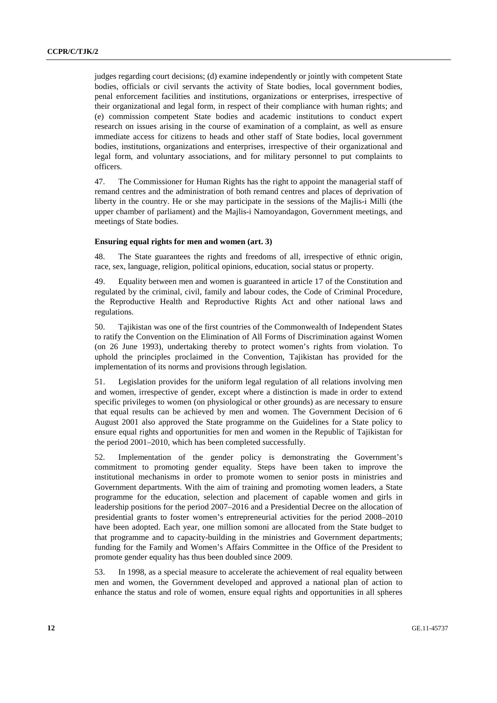judges regarding court decisions; (d) examine independently or jointly with competent State bodies, officials or civil servants the activity of State bodies, local government bodies, penal enforcement facilities and institutions, organizations or enterprises, irrespective of their organizational and legal form, in respect of their compliance with human rights; and (e) commission competent State bodies and academic institutions to conduct expert research on issues arising in the course of examination of a complaint, as well as ensure immediate access for citizens to heads and other staff of State bodies, local government bodies, institutions, organizations and enterprises, irrespective of their organizational and legal form, and voluntary associations, and for military personnel to put complaints to officers.

47. The Commissioner for Human Rights has the right to appoint the managerial staff of remand centres and the administration of both remand centres and places of deprivation of liberty in the country. He or she may participate in the sessions of the Majlis-i Milli (the upper chamber of parliament) and the Majlis-i Namoyandagon, Government meetings, and meetings of State bodies.

## **Ensuring equal rights for men and women (art. 3)**

48. The State guarantees the rights and freedoms of all, irrespective of ethnic origin, race, sex, language, religion, political opinions, education, social status or property.

49. Equality between men and women is guaranteed in article 17 of the Constitution and regulated by the criminal, civil, family and labour codes, the Code of Criminal Procedure, the Reproductive Health and Reproductive Rights Act and other national laws and regulations.

50. Tajikistan was one of the first countries of the Commonwealth of Independent States to ratify the Convention on the Elimination of All Forms of Discrimination against Women (on 26 June 1993), undertaking thereby to protect women's rights from violation. To uphold the principles proclaimed in the Convention, Tajikistan has provided for the implementation of its norms and provisions through legislation.

51. Legislation provides for the uniform legal regulation of all relations involving men and women, irrespective of gender, except where a distinction is made in order to extend specific privileges to women (on physiological or other grounds) as are necessary to ensure that equal results can be achieved by men and women. The Government Decision of 6 August 2001 also approved the State programme on the Guidelines for a State policy to ensure equal rights and opportunities for men and women in the Republic of Tajikistan for the period 2001–2010, which has been completed successfully.

52. Implementation of the gender policy is demonstrating the Government's commitment to promoting gender equality. Steps have been taken to improve the institutional mechanisms in order to promote women to senior posts in ministries and Government departments. With the aim of training and promoting women leaders, a State programme for the education, selection and placement of capable women and girls in leadership positions for the period 2007–2016 and a Presidential Decree on the allocation of presidential grants to foster women's entrepreneurial activities for the period 2008–2010 have been adopted. Each year, one million somoni are allocated from the State budget to that programme and to capacity-building in the ministries and Government departments; funding for the Family and Women's Affairs Committee in the Office of the President to promote gender equality has thus been doubled since 2009.

53. In 1998, as a special measure to accelerate the achievement of real equality between men and women, the Government developed and approved a national plan of action to enhance the status and role of women, ensure equal rights and opportunities in all spheres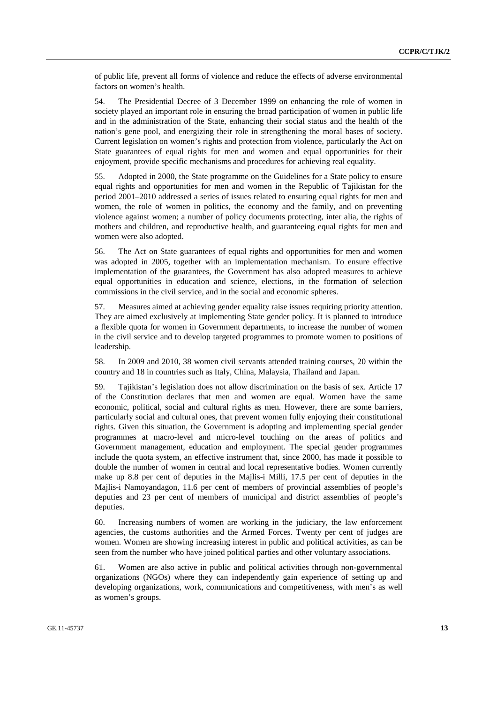of public life, prevent all forms of violence and reduce the effects of adverse environmental factors on women's health.

54. The Presidential Decree of 3 December 1999 on enhancing the role of women in society played an important role in ensuring the broad participation of women in public life and in the administration of the State, enhancing their social status and the health of the nation's gene pool, and energizing their role in strengthening the moral bases of society. Current legislation on women's rights and protection from violence, particularly the Act on State guarantees of equal rights for men and women and equal opportunities for their enjoyment, provide specific mechanisms and procedures for achieving real equality.

55. Adopted in 2000, the State programme on the Guidelines for a State policy to ensure equal rights and opportunities for men and women in the Republic of Tajikistan for the period 2001–2010 addressed a series of issues related to ensuring equal rights for men and women, the role of women in politics, the economy and the family, and on preventing violence against women; a number of policy documents protecting, inter alia, the rights of mothers and children, and reproductive health, and guaranteeing equal rights for men and women were also adopted.

56. The Act on State guarantees of equal rights and opportunities for men and women was adopted in 2005, together with an implementation mechanism. To ensure effective implementation of the guarantees, the Government has also adopted measures to achieve equal opportunities in education and science, elections, in the formation of selection commissions in the civil service, and in the social and economic spheres.

57. Measures aimed at achieving gender equality raise issues requiring priority attention. They are aimed exclusively at implementing State gender policy. It is planned to introduce a flexible quota for women in Government departments, to increase the number of women in the civil service and to develop targeted programmes to promote women to positions of leadership.

58. In 2009 and 2010, 38 women civil servants attended training courses, 20 within the country and 18 in countries such as Italy, China, Malaysia, Thailand and Japan.

59. Tajikistan's legislation does not allow discrimination on the basis of sex. Article 17 of the Constitution declares that men and women are equal. Women have the same economic, political, social and cultural rights as men. However, there are some barriers, particularly social and cultural ones, that prevent women fully enjoying their constitutional rights. Given this situation, the Government is adopting and implementing special gender programmes at macro-level and micro-level touching on the areas of politics and Government management, education and employment. The special gender programmes include the quota system, an effective instrument that, since 2000, has made it possible to double the number of women in central and local representative bodies. Women currently make up 8.8 per cent of deputies in the Majlis-i Milli, 17.5 per cent of deputies in the Majlis-i Namoyandagon, 11.6 per cent of members of provincial assemblies of people's deputies and 23 per cent of members of municipal and district assemblies of people's deputies.

60. Increasing numbers of women are working in the judiciary, the law enforcement agencies, the customs authorities and the Armed Forces. Twenty per cent of judges are women. Women are showing increasing interest in public and political activities, as can be seen from the number who have joined political parties and other voluntary associations.

61. Women are also active in public and political activities through non-governmental organizations (NGOs) where they can independently gain experience of setting up and developing organizations, work, communications and competitiveness, with men's as well as women's groups.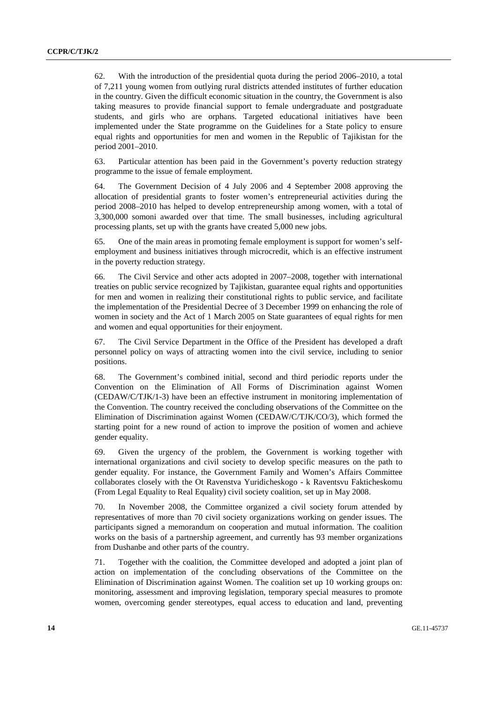62. With the introduction of the presidential quota during the period 2006–2010, a total of 7,211 young women from outlying rural districts attended institutes of further education in the country. Given the difficult economic situation in the country, the Government is also taking measures to provide financial support to female undergraduate and postgraduate students, and girls who are orphans. Targeted educational initiatives have been implemented under the State programme on the Guidelines for a State policy to ensure equal rights and opportunities for men and women in the Republic of Tajikistan for the period 2001–2010.

63. Particular attention has been paid in the Government's poverty reduction strategy programme to the issue of female employment.

64. The Government Decision of 4 July 2006 and 4 September 2008 approving the allocation of presidential grants to foster women's entrepreneurial activities during the period 2008–2010 has helped to develop entrepreneurship among women, with a total of 3,300,000 somoni awarded over that time. The small businesses, including agricultural processing plants, set up with the grants have created 5,000 new jobs.

65. One of the main areas in promoting female employment is support for women's selfemployment and business initiatives through microcredit, which is an effective instrument in the poverty reduction strategy.

66. The Civil Service and other acts adopted in 2007–2008, together with international treaties on public service recognized by Tajikistan, guarantee equal rights and opportunities for men and women in realizing their constitutional rights to public service, and facilitate the implementation of the Presidential Decree of 3 December 1999 on enhancing the role of women in society and the Act of 1 March 2005 on State guarantees of equal rights for men and women and equal opportunities for their enjoyment.

67. The Civil Service Department in the Office of the President has developed a draft personnel policy on ways of attracting women into the civil service, including to senior positions.

68. The Government's combined initial, second and third periodic reports under the Convention on the Elimination of All Forms of Discrimination against Women (CEDAW/C/TJK/1-3) have been an effective instrument in monitoring implementation of the Convention. The country received the concluding observations of the Committee on the Elimination of Discrimination against Women (CEDAW/C/TJK/CO/3), which formed the starting point for a new round of action to improve the position of women and achieve gender equality.

69. Given the urgency of the problem, the Government is working together with international organizations and civil society to develop specific measures on the path to gender equality. For instance, the Government Family and Women's Affairs Committee collaborates closely with the Ot Ravenstva Yuridicheskogo - k Raventsvu Fakticheskomu (From Legal Equality to Real Equality) civil society coalition, set up in May 2008.

70. In November 2008, the Committee organized a civil society forum attended by representatives of more than 70 civil society organizations working on gender issues. The participants signed a memorandum on cooperation and mutual information. The coalition works on the basis of a partnership agreement, and currently has 93 member organizations from Dushanbe and other parts of the country.

71. Together with the coalition, the Committee developed and adopted a joint plan of action on implementation of the concluding observations of the Committee on the Elimination of Discrimination against Women. The coalition set up 10 working groups on: monitoring, assessment and improving legislation, temporary special measures to promote women, overcoming gender stereotypes, equal access to education and land, preventing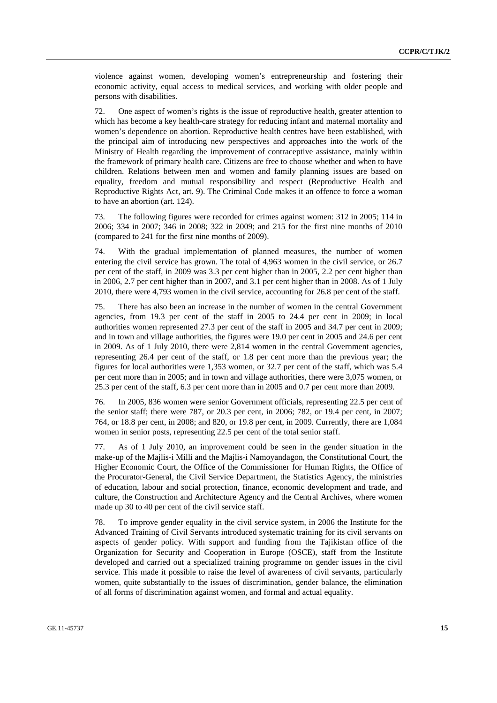violence against women, developing women's entrepreneurship and fostering their economic activity, equal access to medical services, and working with older people and persons with disabilities.

72. One aspect of women's rights is the issue of reproductive health, greater attention to which has become a key health-care strategy for reducing infant and maternal mortality and women's dependence on abortion. Reproductive health centres have been established, with the principal aim of introducing new perspectives and approaches into the work of the Ministry of Health regarding the improvement of contraceptive assistance, mainly within the framework of primary health care. Citizens are free to choose whether and when to have children. Relations between men and women and family planning issues are based on equality, freedom and mutual responsibility and respect (Reproductive Health and Reproductive Rights Act, art. 9). The Criminal Code makes it an offence to force a woman to have an abortion (art. 124).

73. The following figures were recorded for crimes against women: 312 in 2005; 114 in 2006; 334 in 2007; 346 in 2008; 322 in 2009; and 215 for the first nine months of 2010 (compared to 241 for the first nine months of 2009).

74. With the gradual implementation of planned measures, the number of women entering the civil service has grown. The total of 4,963 women in the civil service, or 26.7 per cent of the staff, in 2009 was 3.3 per cent higher than in 2005, 2.2 per cent higher than in 2006, 2.7 per cent higher than in 2007, and 3.1 per cent higher than in 2008. As of 1 July 2010, there were 4,793 women in the civil service, accounting for 26.8 per cent of the staff.

75. There has also been an increase in the number of women in the central Government agencies, from 19.3 per cent of the staff in 2005 to 24.4 per cent in 2009; in local authorities women represented 27.3 per cent of the staff in 2005 and 34.7 per cent in 2009; and in town and village authorities, the figures were 19.0 per cent in 2005 and 24.6 per cent in 2009. As of 1 July 2010, there were 2,814 women in the central Government agencies, representing 26.4 per cent of the staff, or 1.8 per cent more than the previous year; the figures for local authorities were 1,353 women, or 32.7 per cent of the staff, which was 5.4 per cent more than in 2005; and in town and village authorities, there were 3,075 women, or 25.3 per cent of the staff, 6.3 per cent more than in 2005 and 0.7 per cent more than 2009.

76. In 2005, 836 women were senior Government officials, representing 22.5 per cent of the senior staff; there were 787, or 20.3 per cent, in 2006; 782, or 19.4 per cent, in 2007; 764, or 18.8 per cent, in 2008; and 820, or 19.8 per cent, in 2009. Currently, there are 1,084 women in senior posts, representing 22.5 per cent of the total senior staff.

77. As of 1 July 2010, an improvement could be seen in the gender situation in the make-up of the Majlis-i Milli and the Majlis-i Namoyandagon, the Constitutional Court, the Higher Economic Court, the Office of the Commissioner for Human Rights, the Office of the Procurator-General, the Civil Service Department, the Statistics Agency, the ministries of education, labour and social protection, finance, economic development and trade, and culture, the Construction and Architecture Agency and the Central Archives, where women made up 30 to 40 per cent of the civil service staff.

78. To improve gender equality in the civil service system, in 2006 the Institute for the Advanced Training of Civil Servants introduced systematic training for its civil servants on aspects of gender policy. With support and funding from the Tajikistan office of the Organization for Security and Cooperation in Europe (OSCE), staff from the Institute developed and carried out a specialized training programme on gender issues in the civil service. This made it possible to raise the level of awareness of civil servants, particularly women, quite substantially to the issues of discrimination, gender balance, the elimination of all forms of discrimination against women, and formal and actual equality.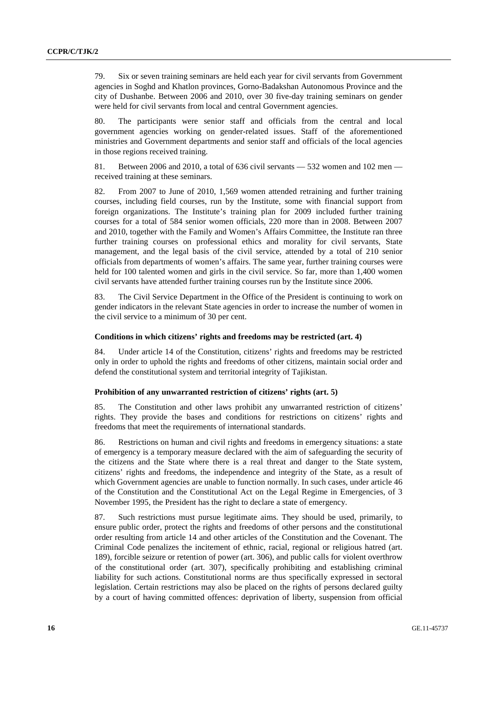79. Six or seven training seminars are held each year for civil servants from Government agencies in Soghd and Khatlon provinces, Gorno-Badakshan Autonomous Province and the city of Dushanbe. Between 2006 and 2010, over 30 five-day training seminars on gender were held for civil servants from local and central Government agencies.

80. The participants were senior staff and officials from the central and local government agencies working on gender-related issues. Staff of the aforementioned ministries and Government departments and senior staff and officials of the local agencies in those regions received training.

81. Between 2006 and 2010, a total of 636 civil servants — 532 women and 102 men received training at these seminars.

82. From 2007 to June of 2010, 1,569 women attended retraining and further training courses, including field courses, run by the Institute, some with financial support from foreign organizations. The Institute's training plan for 2009 included further training courses for a total of 584 senior women officials, 220 more than in 2008. Between 2007 and 2010, together with the Family and Women's Affairs Committee, the Institute ran three further training courses on professional ethics and morality for civil servants, State management, and the legal basis of the civil service, attended by a total of 210 senior officials from departments of women's affairs. The same year, further training courses were held for 100 talented women and girls in the civil service. So far, more than 1,400 women civil servants have attended further training courses run by the Institute since 2006.

83. The Civil Service Department in the Office of the President is continuing to work on gender indicators in the relevant State agencies in order to increase the number of women in the civil service to a minimum of 30 per cent.

#### **Conditions in which citizens' rights and freedoms may be restricted (art. 4)**

84. Under article 14 of the Constitution, citizens' rights and freedoms may be restricted only in order to uphold the rights and freedoms of other citizens, maintain social order and defend the constitutional system and territorial integrity of Tajikistan.

#### **Prohibition of any unwarranted restriction of citizens' rights (art. 5)**

85. The Constitution and other laws prohibit any unwarranted restriction of citizens' rights. They provide the bases and conditions for restrictions on citizens' rights and freedoms that meet the requirements of international standards.

86. Restrictions on human and civil rights and freedoms in emergency situations: a state of emergency is a temporary measure declared with the aim of safeguarding the security of the citizens and the State where there is a real threat and danger to the State system, citizens' rights and freedoms, the independence and integrity of the State, as a result of which Government agencies are unable to function normally. In such cases, under article 46 of the Constitution and the Constitutional Act on the Legal Regime in Emergencies, of 3 November 1995, the President has the right to declare a state of emergency.

87. Such restrictions must pursue legitimate aims. They should be used, primarily, to ensure public order, protect the rights and freedoms of other persons and the constitutional order resulting from article 14 and other articles of the Constitution and the Covenant. The Criminal Code penalizes the incitement of ethnic, racial, regional or religious hatred (art. 189), forcible seizure or retention of power (art. 306), and public calls for violent overthrow of the constitutional order (art. 307), specifically prohibiting and establishing criminal liability for such actions. Constitutional norms are thus specifically expressed in sectoral legislation. Certain restrictions may also be placed on the rights of persons declared guilty by a court of having committed offences: deprivation of liberty, suspension from official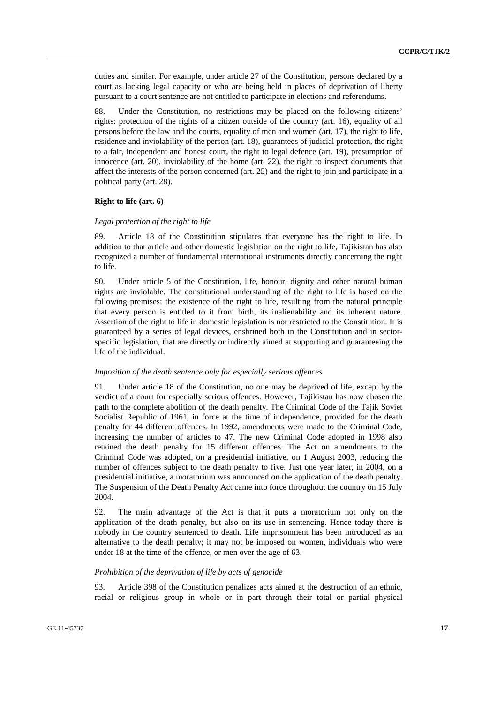duties and similar. For example, under article 27 of the Constitution, persons declared by a court as lacking legal capacity or who are being held in places of deprivation of liberty pursuant to a court sentence are not entitled to participate in elections and referendums.

88. Under the Constitution, no restrictions may be placed on the following citizens' rights: protection of the rights of a citizen outside of the country (art. 16), equality of all persons before the law and the courts, equality of men and women (art. 17), the right to life, residence and inviolability of the person (art. 18), guarantees of judicial protection, the right to a fair, independent and honest court, the right to legal defence (art. 19), presumption of innocence (art. 20), inviolability of the home (art. 22), the right to inspect documents that affect the interests of the person concerned (art. 25) and the right to join and participate in a political party (art. 28).

#### **Right to life (art. 6)**

#### *Legal protection of the right to life*

89. Article 18 of the Constitution stipulates that everyone has the right to life. In addition to that article and other domestic legislation on the right to life, Tajikistan has also recognized a number of fundamental international instruments directly concerning the right to life.

90. Under article 5 of the Constitution, life, honour, dignity and other natural human rights are inviolable. The constitutional understanding of the right to life is based on the following premises: the existence of the right to life, resulting from the natural principle that every person is entitled to it from birth, its inalienability and its inherent nature. Assertion of the right to life in domestic legislation is not restricted to the Constitution. It is guaranteed by a series of legal devices, enshrined both in the Constitution and in sectorspecific legislation, that are directly or indirectly aimed at supporting and guaranteeing the life of the individual.

#### *Imposition of the death sentence only for especially serious offences*

Under article 18 of the Constitution, no one may be deprived of life, except by the verdict of a court for especially serious offences. However, Tajikistan has now chosen the path to the complete abolition of the death penalty. The Criminal Code of the Tajik Soviet Socialist Republic of 1961, in force at the time of independence, provided for the death penalty for 44 different offences. In 1992, amendments were made to the Criminal Code, increasing the number of articles to 47. The new Criminal Code adopted in 1998 also retained the death penalty for 15 different offences. The Act on amendments to the Criminal Code was adopted, on a presidential initiative, on 1 August 2003, reducing the number of offences subject to the death penalty to five. Just one year later, in 2004, on a presidential initiative, a moratorium was announced on the application of the death penalty. The Suspension of the Death Penalty Act came into force throughout the country on 15 July 2004.

92. The main advantage of the Act is that it puts a moratorium not only on the application of the death penalty, but also on its use in sentencing. Hence today there is nobody in the country sentenced to death. Life imprisonment has been introduced as an alternative to the death penalty; it may not be imposed on women, individuals who were under 18 at the time of the offence, or men over the age of 63.

#### *Prohibition of the deprivation of life by acts of genocide*

93. Article 398 of the Constitution penalizes acts aimed at the destruction of an ethnic, racial or religious group in whole or in part through their total or partial physical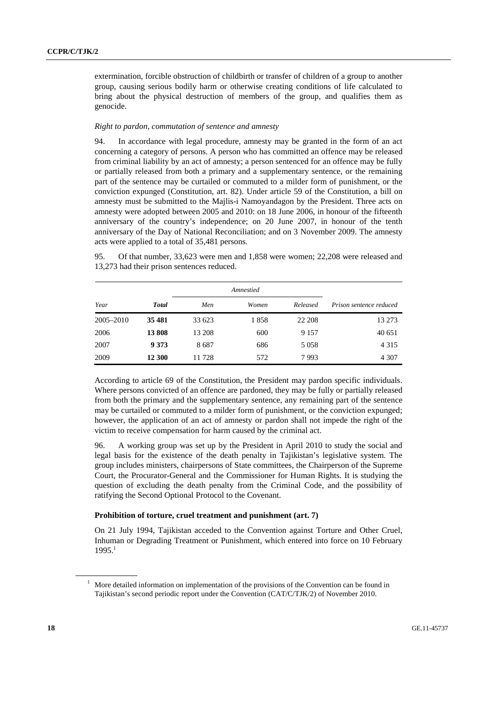extermination, forcible obstruction of childbirth or transfer of children of a group to another group, causing serious bodily harm or otherwise creating conditions of life calculated to bring about the physical destruction of members of the group, and qualifies them as genocide.

#### *Right to pardon, commutation of sentence and amnesty*

94. In accordance with legal procedure, amnesty may be granted in the form of an act concerning a category of persons. A person who has committed an offence may be released from criminal liability by an act of amnesty; a person sentenced for an offence may be fully or partially released from both a primary and a supplementary sentence, or the remaining part of the sentence may be curtailed or commuted to a milder form of punishment, or the conviction expunged (Constitution, art. 82). Under article 59 of the Constitution, a bill on amnesty must be submitted to the Majlis-i Namoyandagon by the President. Three acts on amnesty were adopted between 2005 and 2010: on 18 June 2006, in honour of the fifteenth anniversary of the country's independence; on 20 June 2007, in honour of the tenth anniversary of the Day of National Reconciliation; and on 3 November 2009. The amnesty acts were applied to a total of 35,481 persons.

95. Of that number, 33,623 were men and 1,858 were women; 22,208 were released and 13,273 had their prison sentences reduced.

| Year      | <b>Total</b> | Men    | Women | Released | Prison sentence reduced |
|-----------|--------------|--------|-------|----------|-------------------------|
| 2005-2010 | 35 481       | 33 623 | 1858  | 22 208   | 13 273                  |
| 2006      | 13808        | 13 208 | 600   | 9 1 5 7  | 40 651                  |
| 2007      | 9 3 7 3      | 8687   | 686   | 5 0 5 8  | 4 3 1 5                 |
| 2009      | 12 300       | 11728  | 572   | 7993     | 4 3 0 7                 |

According to article 69 of the Constitution, the President may pardon specific individuals. Where persons convicted of an offence are pardoned, they may be fully or partially released from both the primary and the supplementary sentence, any remaining part of the sentence may be curtailed or commuted to a milder form of punishment, or the conviction expunged; however, the application of an act of amnesty or pardon shall not impede the right of the victim to receive compensation for harm caused by the criminal act.

96. A working group was set up by the President in April 2010 to study the social and legal basis for the existence of the death penalty in Tajikistan's legislative system. The group includes ministers, chairpersons of State committees, the Chairperson of the Supreme Court, the Procurator-General and the Commissioner for Human Rights. It is studying the question of excluding the death penalty from the Criminal Code, and the possibility of ratifying the Second Optional Protocol to the Covenant.

## **Prohibition of torture, cruel treatment and punishment (art. 7)**

On 21 July 1994, Tajikistan acceded to the Convention against Torture and Other Cruel, Inhuman or Degrading Treatment or Punishment, which entered into force on 10 February  $1995.<sup>1</sup>$ 

<sup>&</sup>lt;sup>1</sup> More detailed information on implementation of the provisions of the Convention can be found in Tajikistan's second periodic report under the Convention (CAT/C/TJK/2) of November 2010.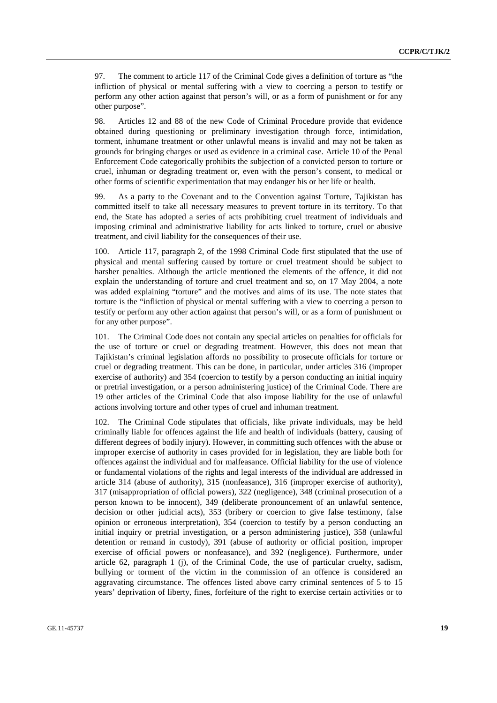97. The comment to article 117 of the Criminal Code gives a definition of torture as "the infliction of physical or mental suffering with a view to coercing a person to testify or perform any other action against that person's will, or as a form of punishment or for any other purpose".

98. Articles 12 and 88 of the new Code of Criminal Procedure provide that evidence obtained during questioning or preliminary investigation through force, intimidation, torment, inhumane treatment or other unlawful means is invalid and may not be taken as grounds for bringing charges or used as evidence in a criminal case. Article 10 of the Penal Enforcement Code categorically prohibits the subjection of a convicted person to torture or cruel, inhuman or degrading treatment or, even with the person's consent, to medical or other forms of scientific experimentation that may endanger his or her life or health.

99. As a party to the Covenant and to the Convention against Torture, Tajikistan has committed itself to take all necessary measures to prevent torture in its territory. To that end, the State has adopted a series of acts prohibiting cruel treatment of individuals and imposing criminal and administrative liability for acts linked to torture, cruel or abusive treatment, and civil liability for the consequences of their use.

100. Article 117, paragraph 2, of the 1998 Criminal Code first stipulated that the use of physical and mental suffering caused by torture or cruel treatment should be subject to harsher penalties. Although the article mentioned the elements of the offence, it did not explain the understanding of torture and cruel treatment and so, on 17 May 2004, a note was added explaining "torture" and the motives and aims of its use. The note states that torture is the "infliction of physical or mental suffering with a view to coercing a person to testify or perform any other action against that person's will, or as a form of punishment or for any other purpose".

101. The Criminal Code does not contain any special articles on penalties for officials for the use of torture or cruel or degrading treatment. However, this does not mean that Tajikistan's criminal legislation affords no possibility to prosecute officials for torture or cruel or degrading treatment. This can be done, in particular, under articles 316 (improper exercise of authority) and 354 (coercion to testify by a person conducting an initial inquiry or pretrial investigation, or a person administering justice) of the Criminal Code. There are 19 other articles of the Criminal Code that also impose liability for the use of unlawful actions involving torture and other types of cruel and inhuman treatment.

102. The Criminal Code stipulates that officials, like private individuals, may be held criminally liable for offences against the life and health of individuals (battery, causing of different degrees of bodily injury). However, in committing such offences with the abuse or improper exercise of authority in cases provided for in legislation, they are liable both for offences against the individual and for malfeasance. Official liability for the use of violence or fundamental violations of the rights and legal interests of the individual are addressed in article 314 (abuse of authority), 315 (nonfeasance), 316 (improper exercise of authority), 317 (misappropriation of official powers), 322 (negligence), 348 (criminal prosecution of a person known to be innocent), 349 (deliberate pronouncement of an unlawful sentence, decision or other judicial acts), 353 (bribery or coercion to give false testimony, false opinion or erroneous interpretation), 354 (coercion to testify by a person conducting an initial inquiry or pretrial investigation, or a person administering justice), 358 (unlawful detention or remand in custody), 391 (abuse of authority or official position, improper exercise of official powers or nonfeasance), and 392 (negligence). Furthermore, under article 62, paragraph 1 (j), of the Criminal Code, the use of particular cruelty, sadism, bullying or torment of the victim in the commission of an offence is considered an aggravating circumstance. The offences listed above carry criminal sentences of 5 to 15 years' deprivation of liberty, fines, forfeiture of the right to exercise certain activities or to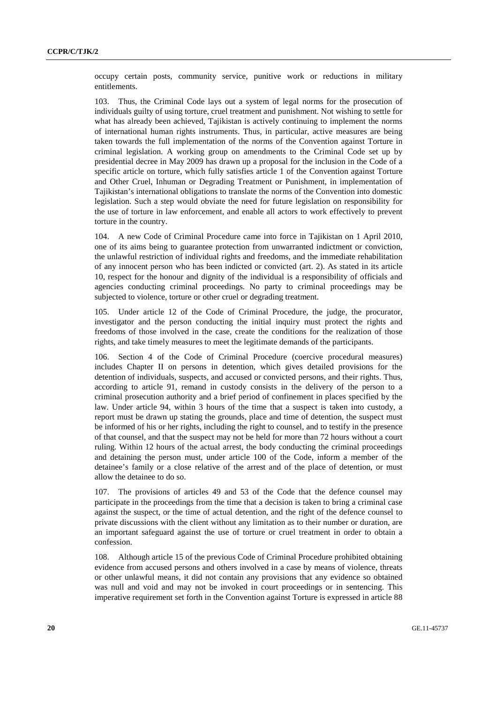occupy certain posts, community service, punitive work or reductions in military entitlements.

103. Thus, the Criminal Code lays out a system of legal norms for the prosecution of individuals guilty of using torture, cruel treatment and punishment. Not wishing to settle for what has already been achieved, Tajikistan is actively continuing to implement the norms of international human rights instruments. Thus, in particular, active measures are being taken towards the full implementation of the norms of the Convention against Torture in criminal legislation. A working group on amendments to the Criminal Code set up by presidential decree in May 2009 has drawn up a proposal for the inclusion in the Code of a specific article on torture, which fully satisfies article 1 of the Convention against Torture and Other Cruel, Inhuman or Degrading Treatment or Punishment, in implementation of Tajikistan's international obligations to translate the norms of the Convention into domestic legislation. Such a step would obviate the need for future legislation on responsibility for the use of torture in law enforcement, and enable all actors to work effectively to prevent torture in the country.

104. A new Code of Criminal Procedure came into force in Tajikistan on 1 April 2010, one of its aims being to guarantee protection from unwarranted indictment or conviction, the unlawful restriction of individual rights and freedoms, and the immediate rehabilitation of any innocent person who has been indicted or convicted (art. 2). As stated in its article 10, respect for the honour and dignity of the individual is a responsibility of officials and agencies conducting criminal proceedings. No party to criminal proceedings may be subjected to violence, torture or other cruel or degrading treatment.

Under article 12 of the Code of Criminal Procedure, the judge, the procurator, investigator and the person conducting the initial inquiry must protect the rights and freedoms of those involved in the case, create the conditions for the realization of those rights, and take timely measures to meet the legitimate demands of the participants.

106. Section 4 of the Code of Criminal Procedure (coercive procedural measures) includes Chapter II on persons in detention, which gives detailed provisions for the detention of individuals, suspects, and accused or convicted persons, and their rights. Thus, according to article 91, remand in custody consists in the delivery of the person to a criminal prosecution authority and a brief period of confinement in places specified by the law. Under article 94, within 3 hours of the time that a suspect is taken into custody, a report must be drawn up stating the grounds, place and time of detention, the suspect must be informed of his or her rights, including the right to counsel, and to testify in the presence of that counsel, and that the suspect may not be held for more than 72 hours without a court ruling. Within 12 hours of the actual arrest, the body conducting the criminal proceedings and detaining the person must, under article 100 of the Code, inform a member of the detainee's family or a close relative of the arrest and of the place of detention, or must allow the detainee to do so.

107. The provisions of articles 49 and 53 of the Code that the defence counsel may participate in the proceedings from the time that a decision is taken to bring a criminal case against the suspect, or the time of actual detention, and the right of the defence counsel to private discussions with the client without any limitation as to their number or duration, are an important safeguard against the use of torture or cruel treatment in order to obtain a confession.

108. Although article 15 of the previous Code of Criminal Procedure prohibited obtaining evidence from accused persons and others involved in a case by means of violence, threats or other unlawful means, it did not contain any provisions that any evidence so obtained was null and void and may not be invoked in court proceedings or in sentencing. This imperative requirement set forth in the Convention against Torture is expressed in article 88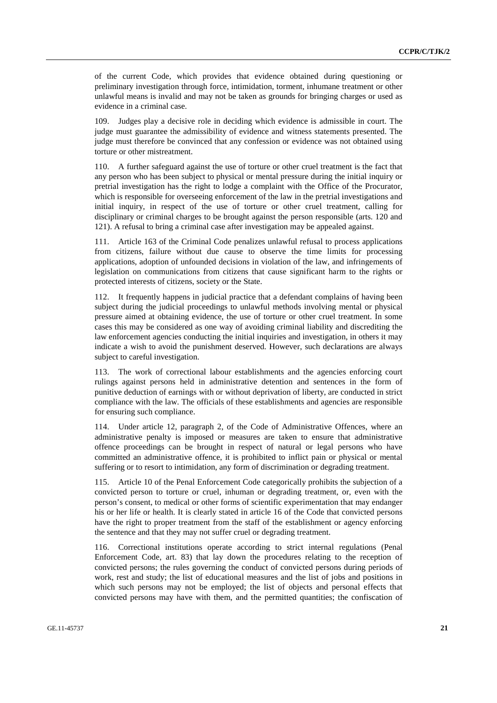of the current Code, which provides that evidence obtained during questioning or preliminary investigation through force, intimidation, torment, inhumane treatment or other unlawful means is invalid and may not be taken as grounds for bringing charges or used as evidence in a criminal case.

109. Judges play a decisive role in deciding which evidence is admissible in court. The judge must guarantee the admissibility of evidence and witness statements presented. The judge must therefore be convinced that any confession or evidence was not obtained using torture or other mistreatment.

110. A further safeguard against the use of torture or other cruel treatment is the fact that any person who has been subject to physical or mental pressure during the initial inquiry or pretrial investigation has the right to lodge a complaint with the Office of the Procurator, which is responsible for overseeing enforcement of the law in the pretrial investigations and initial inquiry, in respect of the use of torture or other cruel treatment, calling for disciplinary or criminal charges to be brought against the person responsible (arts. 120 and 121). A refusal to bring a criminal case after investigation may be appealed against.

111. Article 163 of the Criminal Code penalizes unlawful refusal to process applications from citizens, failure without due cause to observe the time limits for processing applications, adoption of unfounded decisions in violation of the law, and infringements of legislation on communications from citizens that cause significant harm to the rights or protected interests of citizens, society or the State.

112. It frequently happens in judicial practice that a defendant complains of having been subject during the judicial proceedings to unlawful methods involving mental or physical pressure aimed at obtaining evidence, the use of torture or other cruel treatment. In some cases this may be considered as one way of avoiding criminal liability and discrediting the law enforcement agencies conducting the initial inquiries and investigation, in others it may indicate a wish to avoid the punishment deserved. However, such declarations are always subject to careful investigation.

113. The work of correctional labour establishments and the agencies enforcing court rulings against persons held in administrative detention and sentences in the form of punitive deduction of earnings with or without deprivation of liberty, are conducted in strict compliance with the law. The officials of these establishments and agencies are responsible for ensuring such compliance.

114. Under article 12, paragraph 2, of the Code of Administrative Offences, where an administrative penalty is imposed or measures are taken to ensure that administrative offence proceedings can be brought in respect of natural or legal persons who have committed an administrative offence, it is prohibited to inflict pain or physical or mental suffering or to resort to intimidation, any form of discrimination or degrading treatment.

115. Article 10 of the Penal Enforcement Code categorically prohibits the subjection of a convicted person to torture or cruel, inhuman or degrading treatment, or, even with the person's consent, to medical or other forms of scientific experimentation that may endanger his or her life or health. It is clearly stated in article 16 of the Code that convicted persons have the right to proper treatment from the staff of the establishment or agency enforcing the sentence and that they may not suffer cruel or degrading treatment.

116. Correctional institutions operate according to strict internal regulations (Penal Enforcement Code, art. 83) that lay down the procedures relating to the reception of convicted persons; the rules governing the conduct of convicted persons during periods of work, rest and study; the list of educational measures and the list of jobs and positions in which such persons may not be employed; the list of objects and personal effects that convicted persons may have with them, and the permitted quantities; the confiscation of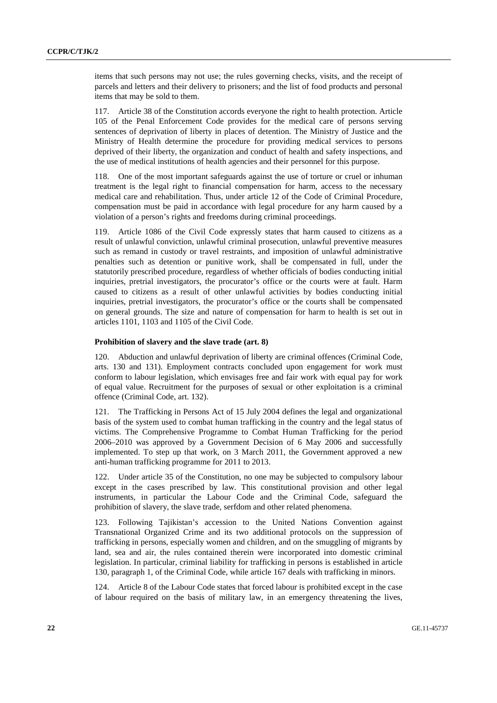items that such persons may not use; the rules governing checks, visits, and the receipt of parcels and letters and their delivery to prisoners; and the list of food products and personal items that may be sold to them.

117. Article 38 of the Constitution accords everyone the right to health protection. Article 105 of the Penal Enforcement Code provides for the medical care of persons serving sentences of deprivation of liberty in places of detention. The Ministry of Justice and the Ministry of Health determine the procedure for providing medical services to persons deprived of their liberty, the organization and conduct of health and safety inspections, and the use of medical institutions of health agencies and their personnel for this purpose.

118. One of the most important safeguards against the use of torture or cruel or inhuman treatment is the legal right to financial compensation for harm, access to the necessary medical care and rehabilitation. Thus, under article 12 of the Code of Criminal Procedure, compensation must be paid in accordance with legal procedure for any harm caused by a violation of a person's rights and freedoms during criminal proceedings.

119. Article 1086 of the Civil Code expressly states that harm caused to citizens as a result of unlawful conviction, unlawful criminal prosecution, unlawful preventive measures such as remand in custody or travel restraints, and imposition of unlawful administrative penalties such as detention or punitive work, shall be compensated in full, under the statutorily prescribed procedure, regardless of whether officials of bodies conducting initial inquiries, pretrial investigators, the procurator's office or the courts were at fault. Harm caused to citizens as a result of other unlawful activities by bodies conducting initial inquiries, pretrial investigators, the procurator's office or the courts shall be compensated on general grounds. The size and nature of compensation for harm to health is set out in articles 1101, 1103 and 1105 of the Civil Code.

#### **Prohibition of slavery and the slave trade (art. 8)**

120. Abduction and unlawful deprivation of liberty are criminal offences (Criminal Code, arts. 130 and 131). Employment contracts concluded upon engagement for work must conform to labour legislation, which envisages free and fair work with equal pay for work of equal value. Recruitment for the purposes of sexual or other exploitation is a criminal offence (Criminal Code, art. 132).

121. The Trafficking in Persons Act of 15 July 2004 defines the legal and organizational basis of the system used to combat human trafficking in the country and the legal status of victims. The Comprehensive Programme to Combat Human Trafficking for the period 2006–2010 was approved by a Government Decision of 6 May 2006 and successfully implemented. To step up that work, on 3 March 2011, the Government approved a new anti-human trafficking programme for 2011 to 2013.

122. Under article 35 of the Constitution, no one may be subjected to compulsory labour except in the cases prescribed by law. This constitutional provision and other legal instruments, in particular the Labour Code and the Criminal Code, safeguard the prohibition of slavery, the slave trade, serfdom and other related phenomena.

123. Following Tajikistan's accession to the United Nations Convention against Transnational Organized Crime and its two additional protocols on the suppression of trafficking in persons, especially women and children, and on the smuggling of migrants by land, sea and air, the rules contained therein were incorporated into domestic criminal legislation. In particular, criminal liability for trafficking in persons is established in article 130, paragraph 1, of the Criminal Code, while article 167 deals with trafficking in minors.

124. Article 8 of the Labour Code states that forced labour is prohibited except in the case of labour required on the basis of military law, in an emergency threatening the lives,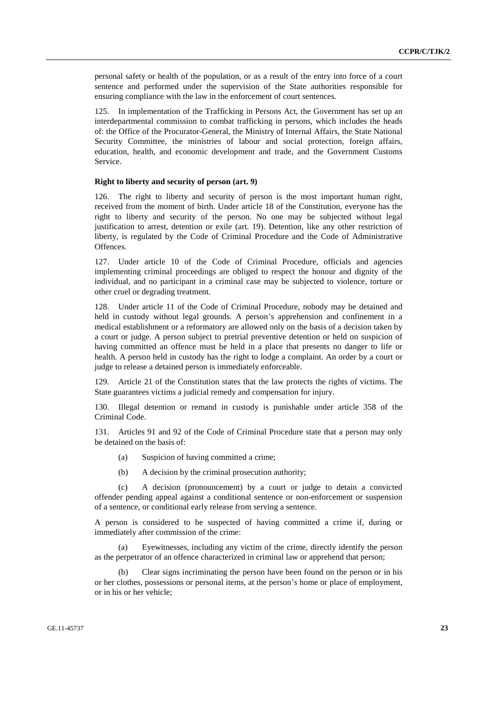personal safety or health of the population, or as a result of the entry into force of a court sentence and performed under the supervision of the State authorities responsible for ensuring compliance with the law in the enforcement of court sentences.

125. In implementation of the Trafficking in Persons Act, the Government has set up an interdepartmental commission to combat trafficking in persons, which includes the heads of: the Office of the Procurator-General, the Ministry of Internal Affairs, the State National Security Committee, the ministries of labour and social protection, foreign affairs, education, health, and economic development and trade, and the Government Customs Service.

#### **Right to liberty and security of person (art. 9)**

126. The right to liberty and security of person is the most important human right, received from the moment of birth. Under article 18 of the Constitution, everyone has the right to liberty and security of the person. No one may be subjected without legal justification to arrest, detention or exile (art. 19). Detention, like any other restriction of liberty, is regulated by the Code of Criminal Procedure and the Code of Administrative Offences.

127. Under article 10 of the Code of Criminal Procedure, officials and agencies implementing criminal proceedings are obliged to respect the honour and dignity of the individual, and no participant in a criminal case may be subjected to violence, torture or other cruel or degrading treatment.

128. Under article 11 of the Code of Criminal Procedure, nobody may be detained and held in custody without legal grounds. A person's apprehension and confinement in a medical establishment or a reformatory are allowed only on the basis of a decision taken by a court or judge. A person subject to pretrial preventive detention or held on suspicion of having committed an offence must be held in a place that presents no danger to life or health. A person held in custody has the right to lodge a complaint. An order by a court or judge to release a detained person is immediately enforceable.

129. Article 21 of the Constitution states that the law protects the rights of victims. The State guarantees victims a judicial remedy and compensation for injury.

130. Illegal detention or remand in custody is punishable under article 358 of the Criminal Code.

131. Articles 91 and 92 of the Code of Criminal Procedure state that a person may only be detained on the basis of:

- (a) Suspicion of having committed a crime;
- (b) A decision by the criminal prosecution authority;

 (c) A decision (pronouncement) by a court or judge to detain a convicted offender pending appeal against a conditional sentence or non-enforcement or suspension of a sentence, or conditional early release from serving a sentence.

A person is considered to be suspected of having committed a crime if, during or immediately after commission of the crime:

 (a) Eyewitnesses, including any victim of the crime, directly identify the person as the perpetrator of an offence characterized in criminal law or apprehend that person;

 (b) Clear signs incriminating the person have been found on the person or in his or her clothes, possessions or personal items, at the person's home or place of employment, or in his or her vehicle;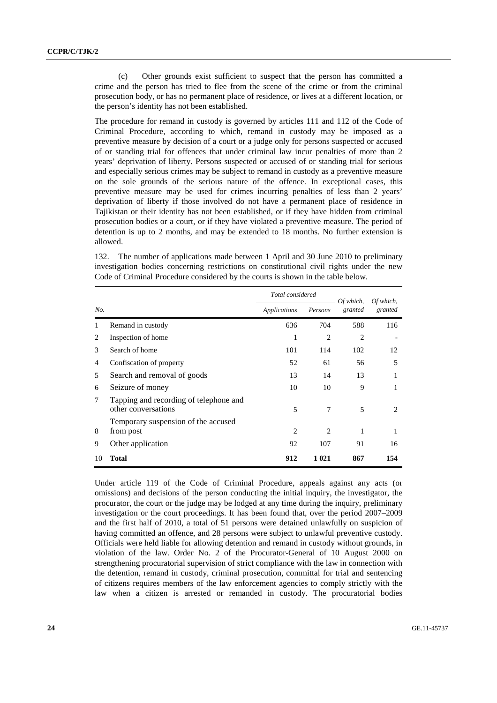(c) Other grounds exist sufficient to suspect that the person has committed a crime and the person has tried to flee from the scene of the crime or from the criminal prosecution body, or has no permanent place of residence, or lives at a different location, or the person's identity has not been established.

The procedure for remand in custody is governed by articles 111 and 112 of the Code of Criminal Procedure, according to which, remand in custody may be imposed as a preventive measure by decision of a court or a judge only for persons suspected or accused of or standing trial for offences that under criminal law incur penalties of more than 2 years' deprivation of liberty. Persons suspected or accused of or standing trial for serious and especially serious crimes may be subject to remand in custody as a preventive measure on the sole grounds of the serious nature of the offence. In exceptional cases, this preventive measure may be used for crimes incurring penalties of less than 2 years' deprivation of liberty if those involved do not have a permanent place of residence in Tajikistan or their identity has not been established, or if they have hidden from criminal prosecution bodies or a court, or if they have violated a preventive measure. The period of detention is up to 2 months, and may be extended to 18 months. No further extension is allowed.

132. The number of applications made between 1 April and 30 June 2010 to preliminary investigation bodies concerning restrictions on constitutional civil rights under the new Code of Criminal Procedure considered by the courts is shown in the table below.

|     |                                                               | Total considered |                | Of which,                | Of which,                     |  |
|-----|---------------------------------------------------------------|------------------|----------------|--------------------------|-------------------------------|--|
| No. |                                                               | Applications     | Persons        | granted                  | granted                       |  |
|     | Remand in custody                                             | 636              | 704            | 588                      | 116                           |  |
| 2   | Inspection of home                                            | 1                | $\overline{c}$ | $\overline{c}$           |                               |  |
| 3   | Search of home                                                | 101              | 114            | 102                      | 12                            |  |
| 4   | Confiscation of property                                      | 52               | 61             | 56                       | 5                             |  |
| 5   | Search and removal of goods                                   | 13               | 14             | 13                       | 1                             |  |
| 6   | Seizure of money                                              | 10               | 10             | 9                        | 1                             |  |
| 7   | Tapping and recording of telephone and<br>other conversations | 5                | 7              | $\overline{\phantom{1}}$ | $\mathfrak{D}_{\mathfrak{p}}$ |  |
| 8   | Temporary suspension of the accused<br>from post              | $\overline{c}$   | 2              | 1                        | 1                             |  |
| 9   | Other application                                             | 92               | 107            | 91                       | 16                            |  |
| 10  | Total                                                         | 912              | 1 0 2 1        | 867                      | 154                           |  |

Under article 119 of the Code of Criminal Procedure, appeals against any acts (or omissions) and decisions of the person conducting the initial inquiry, the investigator, the procurator, the court or the judge may be lodged at any time during the inquiry, preliminary investigation or the court proceedings. It has been found that, over the period 2007–2009 and the first half of 2010, a total of 51 persons were detained unlawfully on suspicion of having committed an offence, and 28 persons were subject to unlawful preventive custody. Officials were held liable for allowing detention and remand in custody without grounds, in violation of the law. Order No. 2 of the Procurator-General of 10 August 2000 on strengthening procuratorial supervision of strict compliance with the law in connection with the detention, remand in custody, criminal prosecution, committal for trial and sentencing of citizens requires members of the law enforcement agencies to comply strictly with the law when a citizen is arrested or remanded in custody. The procuratorial bodies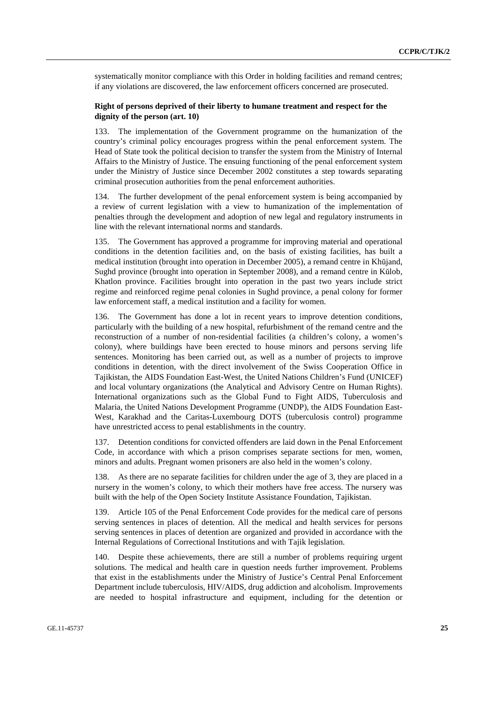systematically monitor compliance with this Order in holding facilities and remand centres; if any violations are discovered, the law enforcement officers concerned are prosecuted.

## **Right of persons deprived of their liberty to humane treatment and respect for the dignity of the person (art. 10)**

133. The implementation of the Government programme on the humanization of the country's criminal policy encourages progress within the penal enforcement system. The Head of State took the political decision to transfer the system from the Ministry of Internal Affairs to the Ministry of Justice. The ensuing functioning of the penal enforcement system under the Ministry of Justice since December 2002 constitutes a step towards separating criminal prosecution authorities from the penal enforcement authorities.

134. The further development of the penal enforcement system is being accompanied by a review of current legislation with a view to humanization of the implementation of penalties through the development and adoption of new legal and regulatory instruments in line with the relevant international norms and standards.

The Government has approved a programme for improving material and operational conditions in the detention facilities and, on the basis of existing facilities, has built a medical institution (brought into operation in December 2005), a remand centre in Khŭjand, Sughd province (brought into operation in September 2008), and a remand centre in Kŭlob, Khatlon province. Facilities brought into operation in the past two years include strict regime and reinforced regime penal colonies in Sughd province, a penal colony for former law enforcement staff, a medical institution and a facility for women.

136. The Government has done a lot in recent years to improve detention conditions, particularly with the building of a new hospital, refurbishment of the remand centre and the reconstruction of a number of non-residential facilities (a children's colony, a women's colony), where buildings have been erected to house minors and persons serving life sentences. Monitoring has been carried out, as well as a number of projects to improve conditions in detention, with the direct involvement of the Swiss Cooperation Office in Tajikistan, the AIDS Foundation East-West, the United Nations Children's Fund (UNICEF) and local voluntary organizations (the Analytical and Advisory Centre on Human Rights). International organizations such as the Global Fund to Fight AIDS, Tuberculosis and Malaria, the United Nations Development Programme (UNDP), the AIDS Foundation East-West, Karakhad and the Caritas-Luxembourg DOTS (tuberculosis control) programme have unrestricted access to penal establishments in the country.

137. Detention conditions for convicted offenders are laid down in the Penal Enforcement Code, in accordance with which a prison comprises separate sections for men, women, minors and adults. Pregnant women prisoners are also held in the women's colony.

As there are no separate facilities for children under the age of 3, they are placed in a nursery in the women's colony, to which their mothers have free access. The nursery was built with the help of the Open Society Institute Assistance Foundation, Tajikistan.

139. Article 105 of the Penal Enforcement Code provides for the medical care of persons serving sentences in places of detention. All the medical and health services for persons serving sentences in places of detention are organized and provided in accordance with the Internal Regulations of Correctional Institutions and with Tajik legislation.

140. Despite these achievements, there are still a number of problems requiring urgent solutions. The medical and health care in question needs further improvement. Problems that exist in the establishments under the Ministry of Justice's Central Penal Enforcement Department include tuberculosis, HIV/AIDS, drug addiction and alcoholism. Improvements are needed to hospital infrastructure and equipment, including for the detention or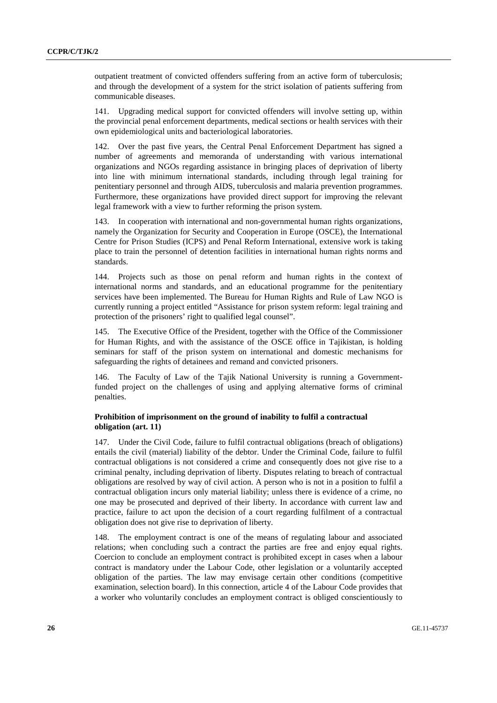outpatient treatment of convicted offenders suffering from an active form of tuberculosis; and through the development of a system for the strict isolation of patients suffering from communicable diseases.

141. Upgrading medical support for convicted offenders will involve setting up, within the provincial penal enforcement departments, medical sections or health services with their own epidemiological units and bacteriological laboratories.

142. Over the past five years, the Central Penal Enforcement Department has signed a number of agreements and memoranda of understanding with various international organizations and NGOs regarding assistance in bringing places of deprivation of liberty into line with minimum international standards, including through legal training for penitentiary personnel and through AIDS, tuberculosis and malaria prevention programmes. Furthermore, these organizations have provided direct support for improving the relevant legal framework with a view to further reforming the prison system.

143. In cooperation with international and non-governmental human rights organizations, namely the Organization for Security and Cooperation in Europe (OSCE), the International Centre for Prison Studies (ICPS) and Penal Reform International, extensive work is taking place to train the personnel of detention facilities in international human rights norms and standards.

144. Projects such as those on penal reform and human rights in the context of international norms and standards, and an educational programme for the penitentiary services have been implemented. The Bureau for Human Rights and Rule of Law NGO is currently running a project entitled "Assistance for prison system reform: legal training and protection of the prisoners' right to qualified legal counsel".

145. The Executive Office of the President, together with the Office of the Commissioner for Human Rights, and with the assistance of the OSCE office in Tajikistan, is holding seminars for staff of the prison system on international and domestic mechanisms for safeguarding the rights of detainees and remand and convicted prisoners.

146. The Faculty of Law of the Tajik National University is running a Governmentfunded project on the challenges of using and applying alternative forms of criminal penalties.

## **Prohibition of imprisonment on the ground of inability to fulfil a contractual obligation (art. 11)**

147. Under the Civil Code, failure to fulfil contractual obligations (breach of obligations) entails the civil (material) liability of the debtor. Under the Criminal Code, failure to fulfil contractual obligations is not considered a crime and consequently does not give rise to a criminal penalty, including deprivation of liberty. Disputes relating to breach of contractual obligations are resolved by way of civil action. A person who is not in a position to fulfil a contractual obligation incurs only material liability; unless there is evidence of a crime, no one may be prosecuted and deprived of their liberty. In accordance with current law and practice, failure to act upon the decision of a court regarding fulfilment of a contractual obligation does not give rise to deprivation of liberty.

148. The employment contract is one of the means of regulating labour and associated relations; when concluding such a contract the parties are free and enjoy equal rights. Coercion to conclude an employment contract is prohibited except in cases when a labour contract is mandatory under the Labour Code, other legislation or a voluntarily accepted obligation of the parties. The law may envisage certain other conditions (competitive examination, selection board). In this connection, article 4 of the Labour Code provides that a worker who voluntarily concludes an employment contract is obliged conscientiously to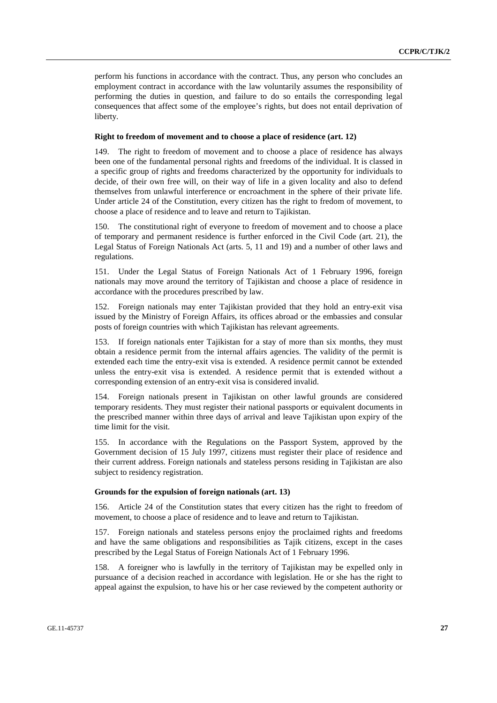perform his functions in accordance with the contract. Thus, any person who concludes an employment contract in accordance with the law voluntarily assumes the responsibility of performing the duties in question, and failure to do so entails the corresponding legal consequences that affect some of the employee's rights, but does not entail deprivation of liberty.

#### **Right to freedom of movement and to choose a place of residence (art. 12)**

149. The right to freedom of movement and to choose a place of residence has always been one of the fundamental personal rights and freedoms of the individual. It is classed in a specific group of rights and freedoms characterized by the opportunity for individuals to decide, of their own free will, on their way of life in a given locality and also to defend themselves from unlawful interference or encroachment in the sphere of their private life. Under article 24 of the Constitution, every citizen has the right to fredom of movement, to choose a place of residence and to leave and return to Tajikistan.

150. The constitutional right of everyone to freedom of movement and to choose a place of temporary and permanent residence is further enforced in the Civil Code (art. 21), the Legal Status of Foreign Nationals Act (arts. 5, 11 and 19) and a number of other laws and regulations.

151. Under the Legal Status of Foreign Nationals Act of 1 February 1996, foreign nationals may move around the territory of Tajikistan and choose a place of residence in accordance with the procedures prescribed by law.

152. Foreign nationals may enter Tajikistan provided that they hold an entry-exit visa issued by the Ministry of Foreign Affairs, its offices abroad or the embassies and consular posts of foreign countries with which Tajikistan has relevant agreements.

153. If foreign nationals enter Tajikistan for a stay of more than six months, they must obtain a residence permit from the internal affairs agencies. The validity of the permit is extended each time the entry-exit visa is extended. A residence permit cannot be extended unless the entry-exit visa is extended. A residence permit that is extended without a corresponding extension of an entry-exit visa is considered invalid.

154. Foreign nationals present in Tajikistan on other lawful grounds are considered temporary residents. They must register their national passports or equivalent documents in the prescribed manner within three days of arrival and leave Tajikistan upon expiry of the time limit for the visit.

155. In accordance with the Regulations on the Passport System, approved by the Government decision of 15 July 1997, citizens must register their place of residence and their current address. Foreign nationals and stateless persons residing in Tajikistan are also subject to residency registration.

#### **Grounds for the expulsion of foreign nationals (art. 13)**

156. Article 24 of the Constitution states that every citizen has the right to freedom of movement, to choose a place of residence and to leave and return to Tajikistan.

157. Foreign nationals and stateless persons enjoy the proclaimed rights and freedoms and have the same obligations and responsibilities as Tajik citizens, except in the cases prescribed by the Legal Status of Foreign Nationals Act of 1 February 1996.

158. A foreigner who is lawfully in the territory of Tajikistan may be expelled only in pursuance of a decision reached in accordance with legislation. He or she has the right to appeal against the expulsion, to have his or her case reviewed by the competent authority or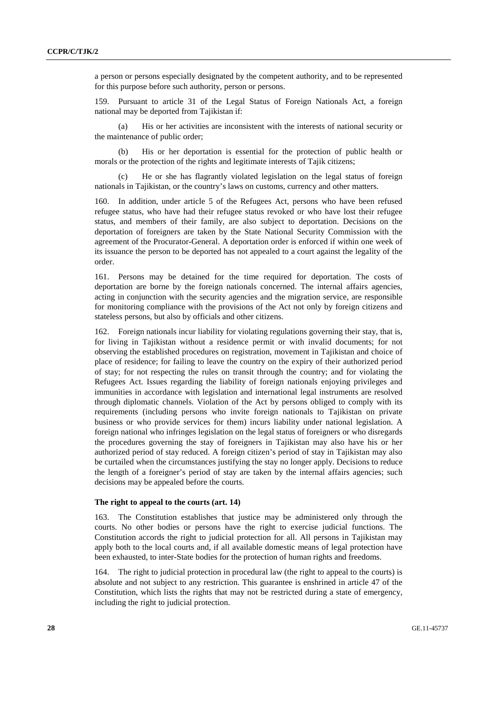a person or persons especially designated by the competent authority, and to be represented for this purpose before such authority, person or persons.

159. Pursuant to article 31 of the Legal Status of Foreign Nationals Act, a foreign national may be deported from Tajikistan if:

His or her activities are inconsistent with the interests of national security or the maintenance of public order;

 (b) His or her deportation is essential for the protection of public health or morals or the protection of the rights and legitimate interests of Tajik citizens;

 (c) He or she has flagrantly violated legislation on the legal status of foreign nationals in Tajikistan, or the country's laws on customs, currency and other matters.

160. In addition, under article 5 of the Refugees Act, persons who have been refused refugee status, who have had their refugee status revoked or who have lost their refugee status, and members of their family, are also subject to deportation. Decisions on the deportation of foreigners are taken by the State National Security Commission with the agreement of the Procurator-General. A deportation order is enforced if within one week of its issuance the person to be deported has not appealed to a court against the legality of the order.

161. Persons may be detained for the time required for deportation. The costs of deportation are borne by the foreign nationals concerned. The internal affairs agencies, acting in conjunction with the security agencies and the migration service, are responsible for monitoring compliance with the provisions of the Act not only by foreign citizens and stateless persons, but also by officials and other citizens.

162. Foreign nationals incur liability for violating regulations governing their stay, that is, for living in Tajikistan without a residence permit or with invalid documents; for not observing the established procedures on registration, movement in Tajikistan and choice of place of residence; for failing to leave the country on the expiry of their authorized period of stay; for not respecting the rules on transit through the country; and for violating the Refugees Act. Issues regarding the liability of foreign nationals enjoying privileges and immunities in accordance with legislation and international legal instruments are resolved through diplomatic channels. Violation of the Act by persons obliged to comply with its requirements (including persons who invite foreign nationals to Tajikistan on private business or who provide services for them) incurs liability under national legislation. A foreign national who infringes legislation on the legal status of foreigners or who disregards the procedures governing the stay of foreigners in Tajikistan may also have his or her authorized period of stay reduced. A foreign citizen's period of stay in Tajikistan may also be curtailed when the circumstances justifying the stay no longer apply. Decisions to reduce the length of a foreigner's period of stay are taken by the internal affairs agencies; such decisions may be appealed before the courts.

#### **The right to appeal to the courts (art. 14)**

163. The Constitution establishes that justice may be administered only through the courts. No other bodies or persons have the right to exercise judicial functions. The Constitution accords the right to judicial protection for all. All persons in Tajikistan may apply both to the local courts and, if all available domestic means of legal protection have been exhausted, to inter-State bodies for the protection of human rights and freedoms.

164. The right to judicial protection in procedural law (the right to appeal to the courts) is absolute and not subject to any restriction. This guarantee is enshrined in article 47 of the Constitution, which lists the rights that may not be restricted during a state of emergency, including the right to judicial protection.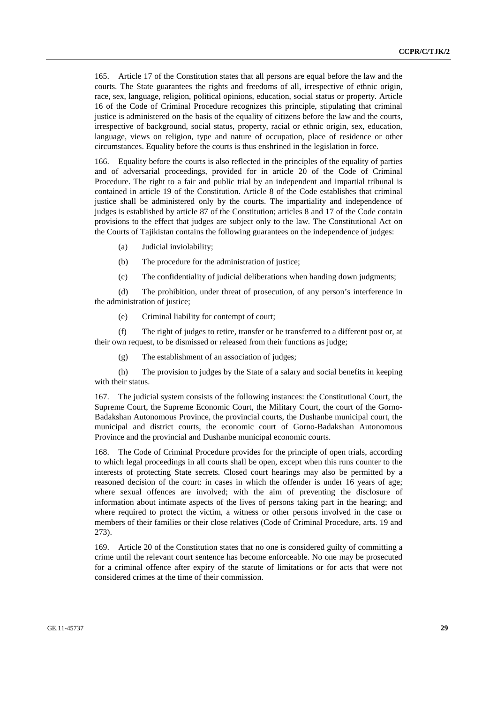165. Article 17 of the Constitution states that all persons are equal before the law and the courts. The State guarantees the rights and freedoms of all, irrespective of ethnic origin, race, sex, language, religion, political opinions, education, social status or property. Article 16 of the Code of Criminal Procedure recognizes this principle, stipulating that criminal justice is administered on the basis of the equality of citizens before the law and the courts, irrespective of background, social status, property, racial or ethnic origin, sex, education, language, views on religion, type and nature of occupation, place of residence or other circumstances. Equality before the courts is thus enshrined in the legislation in force.

166. Equality before the courts is also reflected in the principles of the equality of parties and of adversarial proceedings, provided for in article 20 of the Code of Criminal Procedure. The right to a fair and public trial by an independent and impartial tribunal is contained in article 19 of the Constitution. Article 8 of the Code establishes that criminal justice shall be administered only by the courts. The impartiality and independence of judges is established by article 87 of the Constitution; articles 8 and 17 of the Code contain provisions to the effect that judges are subject only to the law. The Constitutional Act on the Courts of Tajikistan contains the following guarantees on the independence of judges:

- (a) Judicial inviolability;
- (b) The procedure for the administration of justice;
- (c) The confidentiality of judicial deliberations when handing down judgments;

 (d) The prohibition, under threat of prosecution, of any person's interference in the administration of justice;

(e) Criminal liability for contempt of court;

 (f) The right of judges to retire, transfer or be transferred to a different post or, at their own request, to be dismissed or released from their functions as judge;

(g) The establishment of an association of judges;

 (h) The provision to judges by the State of a salary and social benefits in keeping with their status.

167. The judicial system consists of the following instances: the Constitutional Court, the Supreme Court, the Supreme Economic Court, the Military Court, the court of the Gorno-Badakshan Autonomous Province, the provincial courts, the Dushanbe municipal court, the municipal and district courts, the economic court of Gorno-Badakshan Autonomous Province and the provincial and Dushanbe municipal economic courts.

168. The Code of Criminal Procedure provides for the principle of open trials, according to which legal proceedings in all courts shall be open, except when this runs counter to the interests of protecting State secrets. Closed court hearings may also be permitted by a reasoned decision of the court: in cases in which the offender is under 16 years of age; where sexual offences are involved; with the aim of preventing the disclosure of information about intimate aspects of the lives of persons taking part in the hearing; and where required to protect the victim, a witness or other persons involved in the case or members of their families or their close relatives (Code of Criminal Procedure, arts. 19 and 273).

169. Article 20 of the Constitution states that no one is considered guilty of committing a crime until the relevant court sentence has become enforceable. No one may be prosecuted for a criminal offence after expiry of the statute of limitations or for acts that were not considered crimes at the time of their commission.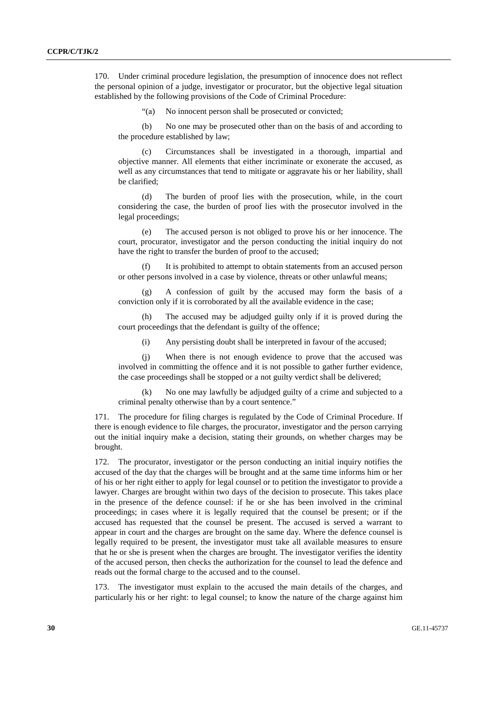170. Under criminal procedure legislation, the presumption of innocence does not reflect the personal opinion of a judge, investigator or procurator, but the objective legal situation established by the following provisions of the Code of Criminal Procedure:

"(a) No innocent person shall be prosecuted or convicted;

 (b) No one may be prosecuted other than on the basis of and according to the procedure established by law;

 (c) Circumstances shall be investigated in a thorough, impartial and objective manner. All elements that either incriminate or exonerate the accused, as well as any circumstances that tend to mitigate or aggravate his or her liability, shall be clarified;

 (d) The burden of proof lies with the prosecution, while, in the court considering the case, the burden of proof lies with the prosecutor involved in the legal proceedings;

 (e) The accused person is not obliged to prove his or her innocence. The court, procurator, investigator and the person conducting the initial inquiry do not have the right to transfer the burden of proof to the accused;

 (f) It is prohibited to attempt to obtain statements from an accused person or other persons involved in a case by violence, threats or other unlawful means;

 (g) A confession of guilt by the accused may form the basis of a conviction only if it is corroborated by all the available evidence in the case;

 (h) The accused may be adjudged guilty only if it is proved during the court proceedings that the defendant is guilty of the offence;

(i) Any persisting doubt shall be interpreted in favour of the accused;

 (j) When there is not enough evidence to prove that the accused was involved in committing the offence and it is not possible to gather further evidence, the case proceedings shall be stopped or a not guilty verdict shall be delivered;

 (k) No one may lawfully be adjudged guilty of a crime and subjected to a criminal penalty otherwise than by a court sentence."

171. The procedure for filing charges is regulated by the Code of Criminal Procedure. If there is enough evidence to file charges, the procurator, investigator and the person carrying out the initial inquiry make a decision, stating their grounds, on whether charges may be brought.

172. The procurator, investigator or the person conducting an initial inquiry notifies the accused of the day that the charges will be brought and at the same time informs him or her of his or her right either to apply for legal counsel or to petition the investigator to provide a lawyer. Charges are brought within two days of the decision to prosecute. This takes place in the presence of the defence counsel: if he or she has been involved in the criminal proceedings; in cases where it is legally required that the counsel be present; or if the accused has requested that the counsel be present. The accused is served a warrant to appear in court and the charges are brought on the same day. Where the defence counsel is legally required to be present, the investigator must take all available measures to ensure that he or she is present when the charges are brought. The investigator verifies the identity of the accused person, then checks the authorization for the counsel to lead the defence and reads out the formal charge to the accused and to the counsel.

173. The investigator must explain to the accused the main details of the charges, and particularly his or her right: to legal counsel; to know the nature of the charge against him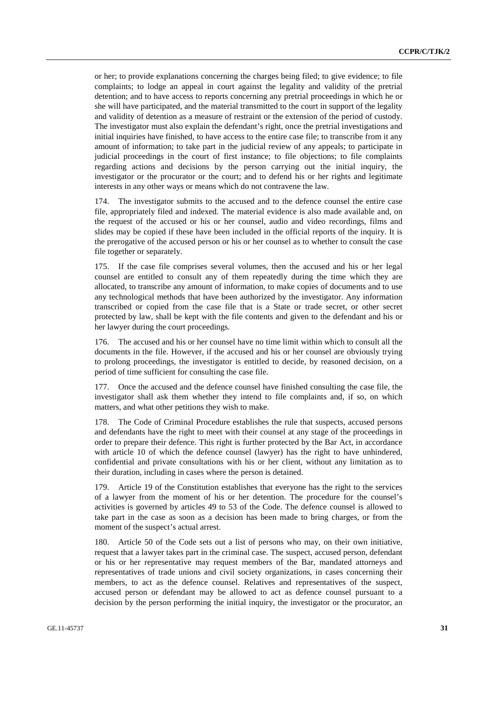or her; to provide explanations concerning the charges being filed; to give evidence; to file complaints; to lodge an appeal in court against the legality and validity of the pretrial detention; and to have access to reports concerning any pretrial proceedings in which he or she will have participated, and the material transmitted to the court in support of the legality and validity of detention as a measure of restraint or the extension of the period of custody. The investigator must also explain the defendant's right, once the pretrial investigations and initial inquiries have finished, to have access to the entire case file; to transcribe from it any amount of information; to take part in the judicial review of any appeals; to participate in judicial proceedings in the court of first instance; to file objections; to file complaints regarding actions and decisions by the person carrying out the initial inquiry, the investigator or the procurator or the court; and to defend his or her rights and legitimate interests in any other ways or means which do not contravene the law.

174. The investigator submits to the accused and to the defence counsel the entire case file, appropriately filed and indexed. The material evidence is also made available and, on the request of the accused or his or her counsel, audio and video recordings, films and slides may be copied if these have been included in the official reports of the inquiry. It is the prerogative of the accused person or his or her counsel as to whether to consult the case file together or separately.

175. If the case file comprises several volumes, then the accused and his or her legal counsel are entitled to consult any of them repeatedly during the time which they are allocated, to transcribe any amount of information, to make copies of documents and to use any technological methods that have been authorized by the investigator. Any information transcribed or copied from the case file that is a State or trade secret, or other secret protected by law, shall be kept with the file contents and given to the defendant and his or her lawyer during the court proceedings.

176. The accused and his or her counsel have no time limit within which to consult all the documents in the file. However, if the accused and his or her counsel are obviously trying to prolong proceedings, the investigator is entitled to decide, by reasoned decision, on a period of time sufficient for consulting the case file.

177. Once the accused and the defence counsel have finished consulting the case file, the investigator shall ask them whether they intend to file complaints and, if so, on which matters, and what other petitions they wish to make.

The Code of Criminal Procedure establishes the rule that suspects, accused persons and defendants have the right to meet with their counsel at any stage of the proceedings in order to prepare their defence. This right is further protected by the Bar Act, in accordance with article 10 of which the defence counsel (lawyer) has the right to have unhindered, confidential and private consultations with his or her client, without any limitation as to their duration, including in cases where the person is detained.

179. Article 19 of the Constitution establishes that everyone has the right to the services of a lawyer from the moment of his or her detention. The procedure for the counsel's activities is governed by articles 49 to 53 of the Code. The defence counsel is allowed to take part in the case as soon as a decision has been made to bring charges, or from the moment of the suspect's actual arrest.

180. Article 50 of the Code sets out a list of persons who may, on their own initiative, request that a lawyer takes part in the criminal case. The suspect, accused person, defendant or his or her representative may request members of the Bar, mandated attorneys and representatives of trade unions and civil society organizations, in cases concerning their members, to act as the defence counsel. Relatives and representatives of the suspect, accused person or defendant may be allowed to act as defence counsel pursuant to a decision by the person performing the initial inquiry, the investigator or the procurator, an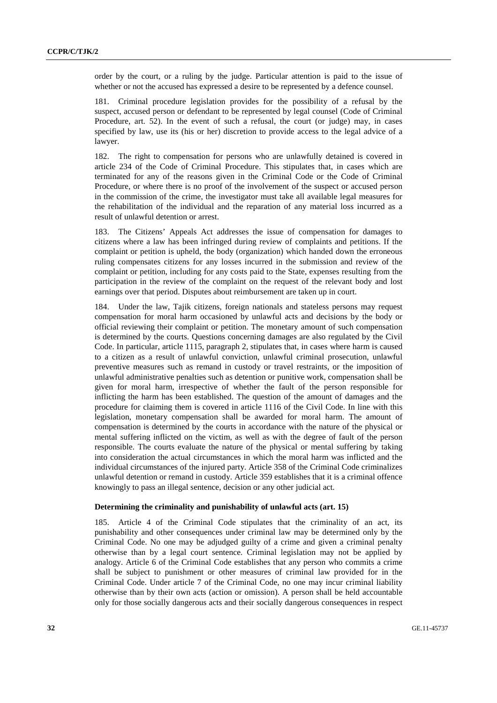order by the court, or a ruling by the judge. Particular attention is paid to the issue of whether or not the accused has expressed a desire to be represented by a defence counsel.

181. Criminal procedure legislation provides for the possibility of a refusal by the suspect, accused person or defendant to be represented by legal counsel (Code of Criminal Procedure, art. 52). In the event of such a refusal, the court (or judge) may, in cases specified by law, use its (his or her) discretion to provide access to the legal advice of a lawyer.

182. The right to compensation for persons who are unlawfully detained is covered in article 234 of the Code of Criminal Procedure. This stipulates that, in cases which are terminated for any of the reasons given in the Criminal Code or the Code of Criminal Procedure, or where there is no proof of the involvement of the suspect or accused person in the commission of the crime, the investigator must take all available legal measures for the rehabilitation of the individual and the reparation of any material loss incurred as a result of unlawful detention or arrest.

183. The Citizens' Appeals Act addresses the issue of compensation for damages to citizens where a law has been infringed during review of complaints and petitions. If the complaint or petition is upheld, the body (organization) which handed down the erroneous ruling compensates citizens for any losses incurred in the submission and review of the complaint or petition, including for any costs paid to the State, expenses resulting from the participation in the review of the complaint on the request of the relevant body and lost earnings over that period. Disputes about reimbursement are taken up in court.

184. Under the law, Tajik citizens, foreign nationals and stateless persons may request compensation for moral harm occasioned by unlawful acts and decisions by the body or official reviewing their complaint or petition. The monetary amount of such compensation is determined by the courts. Questions concerning damages are also regulated by the Civil Code. In particular, article 1115, paragraph 2, stipulates that, in cases where harm is caused to a citizen as a result of unlawful conviction, unlawful criminal prosecution, unlawful preventive measures such as remand in custody or travel restraints, or the imposition of unlawful administrative penalties such as detention or punitive work, compensation shall be given for moral harm, irrespective of whether the fault of the person responsible for inflicting the harm has been established. The question of the amount of damages and the procedure for claiming them is covered in article 1116 of the Civil Code. In line with this legislation, monetary compensation shall be awarded for moral harm. The amount of compensation is determined by the courts in accordance with the nature of the physical or mental suffering inflicted on the victim, as well as with the degree of fault of the person responsible. The courts evaluate the nature of the physical or mental suffering by taking into consideration the actual circumstances in which the moral harm was inflicted and the individual circumstances of the injured party. Article 358 of the Criminal Code criminalizes unlawful detention or remand in custody. Article 359 establishes that it is a criminal offence knowingly to pass an illegal sentence, decision or any other judicial act.

#### **Determining the criminality and punishability of unlawful acts (art. 15)**

185. Article 4 of the Criminal Code stipulates that the criminality of an act, its punishability and other consequences under criminal law may be determined only by the Criminal Code. No one may be adjudged guilty of a crime and given a criminal penalty otherwise than by a legal court sentence. Criminal legislation may not be applied by analogy. Article 6 of the Criminal Code establishes that any person who commits a crime shall be subject to punishment or other measures of criminal law provided for in the Criminal Code. Under article 7 of the Criminal Code, no one may incur criminal liability otherwise than by their own acts (action or omission). A person shall be held accountable only for those socially dangerous acts and their socially dangerous consequences in respect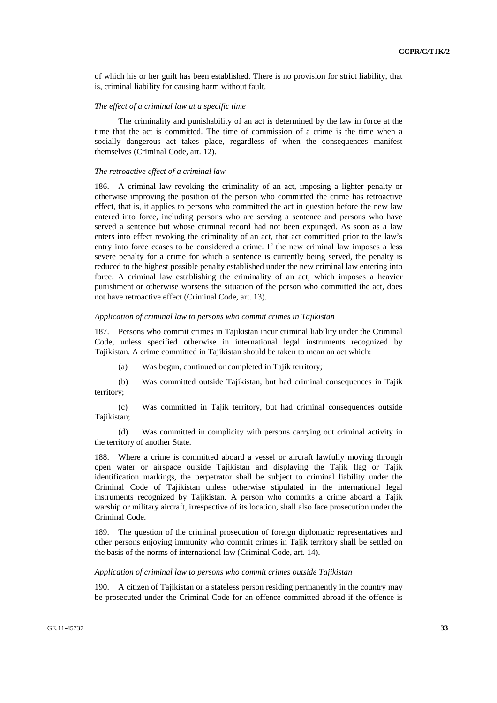of which his or her guilt has been established. There is no provision for strict liability, that is, criminal liability for causing harm without fault.

#### *The effect of a criminal law at a specific time*

 The criminality and punishability of an act is determined by the law in force at the time that the act is committed. The time of commission of a crime is the time when a socially dangerous act takes place, regardless of when the consequences manifest themselves (Criminal Code, art. 12).

### *The retroactive effect of a criminal law*

186. A criminal law revoking the criminality of an act, imposing a lighter penalty or otherwise improving the position of the person who committed the crime has retroactive effect, that is, it applies to persons who committed the act in question before the new law entered into force, including persons who are serving a sentence and persons who have served a sentence but whose criminal record had not been expunged. As soon as a law enters into effect revoking the criminality of an act, that act committed prior to the law's entry into force ceases to be considered a crime. If the new criminal law imposes a less severe penalty for a crime for which a sentence is currently being served, the penalty is reduced to the highest possible penalty established under the new criminal law entering into force. A criminal law establishing the criminality of an act, which imposes a heavier punishment or otherwise worsens the situation of the person who committed the act, does not have retroactive effect (Criminal Code, art. 13).

#### *Application of criminal law to persons who commit crimes in Tajikistan*

187. Persons who commit crimes in Tajikistan incur criminal liability under the Criminal Code, unless specified otherwise in international legal instruments recognized by Tajikistan. A crime committed in Tajikistan should be taken to mean an act which:

(a) Was begun, continued or completed in Tajik territory;

 (b) Was committed outside Tajikistan, but had criminal consequences in Tajik territory;

 (c) Was committed in Tajik territory, but had criminal consequences outside Tajikistan:

 (d) Was committed in complicity with persons carrying out criminal activity in the territory of another State.

188. Where a crime is committed aboard a vessel or aircraft lawfully moving through open water or airspace outside Tajikistan and displaying the Tajik flag or Tajik identification markings, the perpetrator shall be subject to criminal liability under the Criminal Code of Tajikistan unless otherwise stipulated in the international legal instruments recognized by Tajikistan. A person who commits a crime aboard a Tajik warship or military aircraft, irrespective of its location, shall also face prosecution under the Criminal Code.

189. The question of the criminal prosecution of foreign diplomatic representatives and other persons enjoying immunity who commit crimes in Tajik territory shall be settled on the basis of the norms of international law (Criminal Code, art. 14).

#### *Application of criminal law to persons who commit crimes outside Tajikistan*

190. A citizen of Tajikistan or a stateless person residing permanently in the country may be prosecuted under the Criminal Code for an offence committed abroad if the offence is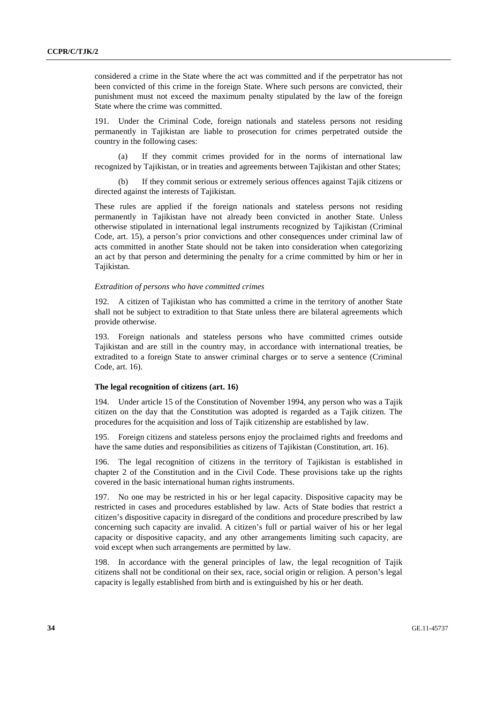considered a crime in the State where the act was committed and if the perpetrator has not been convicted of this crime in the foreign State. Where such persons are convicted, their punishment must not exceed the maximum penalty stipulated by the law of the foreign State where the crime was committed.

Under the Criminal Code, foreign nationals and stateless persons not residing permanently in Tajikistan are liable to prosecution for crimes perpetrated outside the country in the following cases:

 (a) If they commit crimes provided for in the norms of international law recognized by Tajikistan, or in treaties and agreements between Tajikistan and other States;

If they commit serious or extremely serious offences against Tajik citizens or directed against the interests of Tajikistan.

These rules are applied if the foreign nationals and stateless persons not residing permanently in Tajikistan have not already been convicted in another State. Unless otherwise stipulated in international legal instruments recognized by Tajikistan (Criminal Code, art. 15), a person's prior convictions and other consequences under criminal law of acts committed in another State should not be taken into consideration when categorizing an act by that person and determining the penalty for a crime committed by him or her in Tajikistan.

#### *Extradition of persons who have committed crimes*

192. A citizen of Tajikistan who has committed a crime in the territory of another State shall not be subject to extradition to that State unless there are bilateral agreements which provide otherwise.

193. Foreign nationals and stateless persons who have committed crimes outside Tajikistan and are still in the country may, in accordance with international treaties, be extradited to a foreign State to answer criminal charges or to serve a sentence (Criminal Code, art. 16).

#### **The legal recognition of citizens (art. 16)**

194. Under article 15 of the Constitution of November 1994, any person who was a Tajik citizen on the day that the Constitution was adopted is regarded as a Tajik citizen. The procedures for the acquisition and loss of Tajik citizenship are established by law.

195. Foreign citizens and stateless persons enjoy the proclaimed rights and freedoms and have the same duties and responsibilities as citizens of Tajikistan (Constitution, art. 16).

196. The legal recognition of citizens in the territory of Tajikistan is established in chapter 2 of the Constitution and in the Civil Code. These provisions take up the rights covered in the basic international human rights instruments.

197. No one may be restricted in his or her legal capacity. Dispositive capacity may be restricted in cases and procedures established by law. Acts of State bodies that restrict a citizen's dispositive capacity in disregard of the conditions and procedure prescribed by law concerning such capacity are invalid. A citizen's full or partial waiver of his or her legal capacity or dispositive capacity, and any other arrangements limiting such capacity, are void except when such arrangements are permitted by law.

198. In accordance with the general principles of law, the legal recognition of Tajik citizens shall not be conditional on their sex, race, social origin or religion. A person's legal capacity is legally established from birth and is extinguished by his or her death.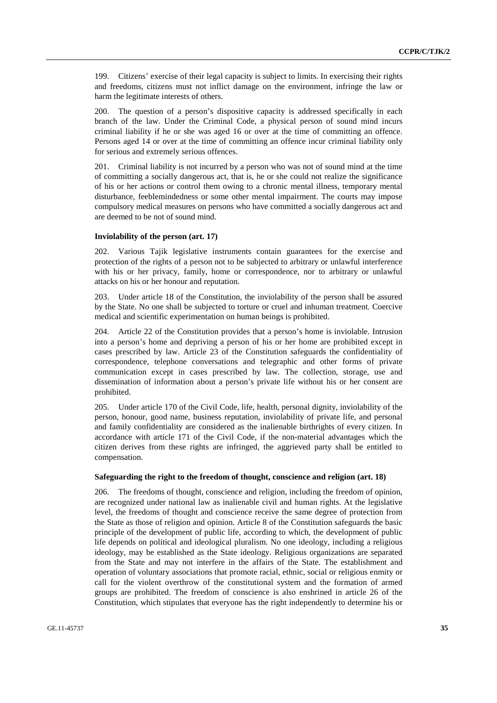199. Citizens' exercise of their legal capacity is subject to limits. In exercising their rights and freedoms, citizens must not inflict damage on the environment, infringe the law or harm the legitimate interests of others.

200. The question of a person's dispositive capacity is addressed specifically in each branch of the law. Under the Criminal Code, a physical person of sound mind incurs criminal liability if he or she was aged 16 or over at the time of committing an offence. Persons aged 14 or over at the time of committing an offence incur criminal liability only for serious and extremely serious offences.

201. Criminal liability is not incurred by a person who was not of sound mind at the time of committing a socially dangerous act, that is, he or she could not realize the significance of his or her actions or control them owing to a chronic mental illness, temporary mental disturbance, feeblemindedness or some other mental impairment. The courts may impose compulsory medical measures on persons who have committed a socially dangerous act and are deemed to be not of sound mind.

#### **Inviolability of the person (art. 17)**

202. Various Tajik legislative instruments contain guarantees for the exercise and protection of the rights of a person not to be subjected to arbitrary or unlawful interference with his or her privacy, family, home or correspondence, nor to arbitrary or unlawful attacks on his or her honour and reputation.

203. Under article 18 of the Constitution, the inviolability of the person shall be assured by the State. No one shall be subjected to torture or cruel and inhuman treatment. Coercive medical and scientific experimentation on human beings is prohibited.

204. Article 22 of the Constitution provides that a person's home is inviolable. Intrusion into a person's home and depriving a person of his or her home are prohibited except in cases prescribed by law. Article 23 of the Constitution safeguards the confidentiality of correspondence, telephone conversations and telegraphic and other forms of private communication except in cases prescribed by law. The collection, storage, use and dissemination of information about a person's private life without his or her consent are prohibited.

205. Under article 170 of the Civil Code, life, health, personal dignity, inviolability of the person, honour, good name, business reputation, inviolability of private life, and personal and family confidentiality are considered as the inalienable birthrights of every citizen. In accordance with article 171 of the Civil Code, if the non-material advantages which the citizen derives from these rights are infringed, the aggrieved party shall be entitled to compensation.

#### **Safeguarding the right to the freedom of thought, conscience and religion (art. 18)**

206. The freedoms of thought, conscience and religion, including the freedom of opinion, are recognized under national law as inalienable civil and human rights. At the legislative level, the freedoms of thought and conscience receive the same degree of protection from the State as those of religion and opinion. Article 8 of the Constitution safeguards the basic principle of the development of public life, according to which, the development of public life depends on political and ideological pluralism. No one ideology, including a religious ideology, may be established as the State ideology. Religious organizations are separated from the State and may not interfere in the affairs of the State. The establishment and operation of voluntary associations that promote racial, ethnic, social or religious enmity or call for the violent overthrow of the constitutional system and the formation of armed groups are prohibited. The freedom of conscience is also enshrined in article 26 of the Constitution, which stipulates that everyone has the right independently to determine his or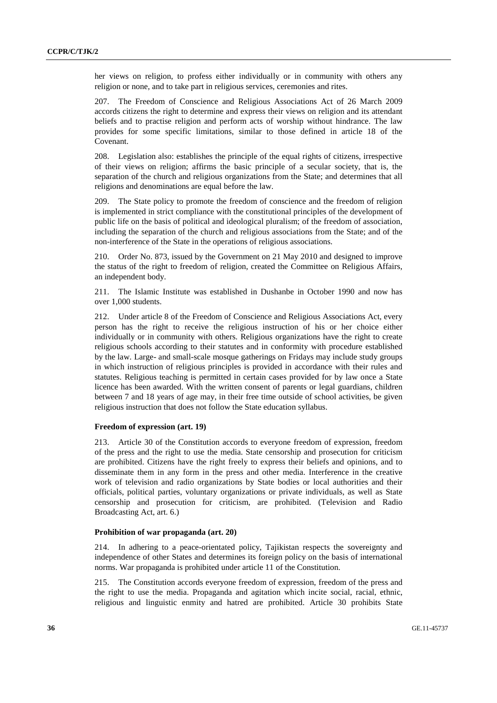her views on religion, to profess either individually or in community with others any religion or none, and to take part in religious services, ceremonies and rites.

207. The Freedom of Conscience and Religious Associations Act of 26 March 2009 accords citizens the right to determine and express their views on religion and its attendant beliefs and to practise religion and perform acts of worship without hindrance. The law provides for some specific limitations, similar to those defined in article 18 of the Covenant.

208. Legislation also: establishes the principle of the equal rights of citizens, irrespective of their views on religion; affirms the basic principle of a secular society, that is, the separation of the church and religious organizations from the State; and determines that all religions and denominations are equal before the law.

209. The State policy to promote the freedom of conscience and the freedom of religion is implemented in strict compliance with the constitutional principles of the development of public life on the basis of political and ideological pluralism; of the freedom of association, including the separation of the church and religious associations from the State; and of the non-interference of the State in the operations of religious associations.

210. Order No. 873, issued by the Government on 21 May 2010 and designed to improve the status of the right to freedom of religion, created the Committee on Religious Affairs, an independent body.

211. The Islamic Institute was established in Dushanbe in October 1990 and now has over 1,000 students.

212. Under article 8 of the Freedom of Conscience and Religious Associations Act, every person has the right to receive the religious instruction of his or her choice either individually or in community with others. Religious organizations have the right to create religious schools according to their statutes and in conformity with procedure established by the law. Large- and small-scale mosque gatherings on Fridays may include study groups in which instruction of religious principles is provided in accordance with their rules and statutes. Religious teaching is permitted in certain cases provided for by law once a State licence has been awarded. With the written consent of parents or legal guardians, children between 7 and 18 years of age may, in their free time outside of school activities, be given religious instruction that does not follow the State education syllabus.

## **Freedom of expression (art. 19)**

213. Article 30 of the Constitution accords to everyone freedom of expression, freedom of the press and the right to use the media. State censorship and prosecution for criticism are prohibited. Citizens have the right freely to express their beliefs and opinions, and to disseminate them in any form in the press and other media. Interference in the creative work of television and radio organizations by State bodies or local authorities and their officials, political parties, voluntary organizations or private individuals, as well as State censorship and prosecution for criticism, are prohibited. (Television and Radio Broadcasting Act, art. 6.)

#### **Prohibition of war propaganda (art. 20)**

214. In adhering to a peace-orientated policy, Tajikistan respects the sovereignty and independence of other States and determines its foreign policy on the basis of international norms. War propaganda is prohibited under article 11 of the Constitution.

215. The Constitution accords everyone freedom of expression, freedom of the press and the right to use the media. Propaganda and agitation which incite social, racial, ethnic, religious and linguistic enmity and hatred are prohibited. Article 30 prohibits State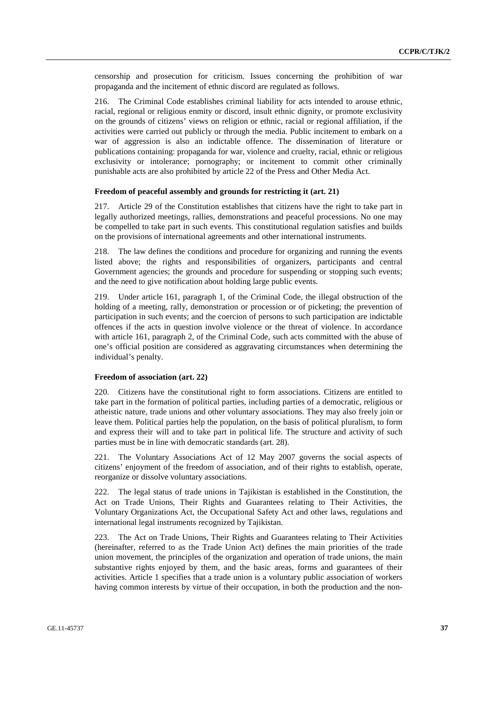censorship and prosecution for criticism. Issues concerning the prohibition of war propaganda and the incitement of ethnic discord are regulated as follows.

216. The Criminal Code establishes criminal liability for acts intended to arouse ethnic, racial, regional or religious enmity or discord, insult ethnic dignity, or promote exclusivity on the grounds of citizens' views on religion or ethnic, racial or regional affiliation, if the activities were carried out publicly or through the media. Public incitement to embark on a war of aggression is also an indictable offence. The dissemination of literature or publications containing: propaganda for war, violence and cruelty, racial, ethnic or religious exclusivity or intolerance; pornography; or incitement to commit other criminally punishable acts are also prohibited by article 22 of the Press and Other Media Act.

#### **Freedom of peaceful assembly and grounds for restricting it (art. 21)**

217. Article 29 of the Constitution establishes that citizens have the right to take part in legally authorized meetings, rallies, demonstrations and peaceful processions. No one may be compelled to take part in such events. This constitutional regulation satisfies and builds on the provisions of international agreements and other international instruments.

218. The law defines the conditions and procedure for organizing and running the events listed above; the rights and responsibilities of organizers, participants and central Government agencies; the grounds and procedure for suspending or stopping such events; and the need to give notification about holding large public events.

219. Under article 161, paragraph 1, of the Criminal Code, the illegal obstruction of the holding of a meeting, rally, demonstration or procession or of picketing; the prevention of participation in such events; and the coercion of persons to such participation are indictable offences if the acts in question involve violence or the threat of violence. In accordance with article 161, paragraph 2, of the Criminal Code, such acts committed with the abuse of one's official position are considered as aggravating circumstances when determining the individual's penalty.

#### **Freedom of association (art. 22)**

220. Citizens have the constitutional right to form associations. Citizens are entitled to take part in the formation of political parties, including parties of a democratic, religious or atheistic nature, trade unions and other voluntary associations. They may also freely join or leave them. Political parties help the population, on the basis of political pluralism, to form and express their will and to take part in political life. The structure and activity of such parties must be in line with democratic standards (art. 28).

221. The Voluntary Associations Act of 12 May 2007 governs the social aspects of citizens' enjoyment of the freedom of association, and of their rights to establish, operate, reorganize or dissolve voluntary associations.

222. The legal status of trade unions in Tajikistan is established in the Constitution, the Act on Trade Unions, Their Rights and Guarantees relating to Their Activities, the Voluntary Organizations Act, the Occupational Safety Act and other laws, regulations and international legal instruments recognized by Tajikistan.

223. The Act on Trade Unions, Their Rights and Guarantees relating to Their Activities (hereinafter, referred to as the Trade Union Act) defines the main priorities of the trade union movement, the principles of the organization and operation of trade unions, the main substantive rights enjoyed by them, and the basic areas, forms and guarantees of their activities. Article 1 specifies that a trade union is a voluntary public association of workers having common interests by virtue of their occupation, in both the production and the non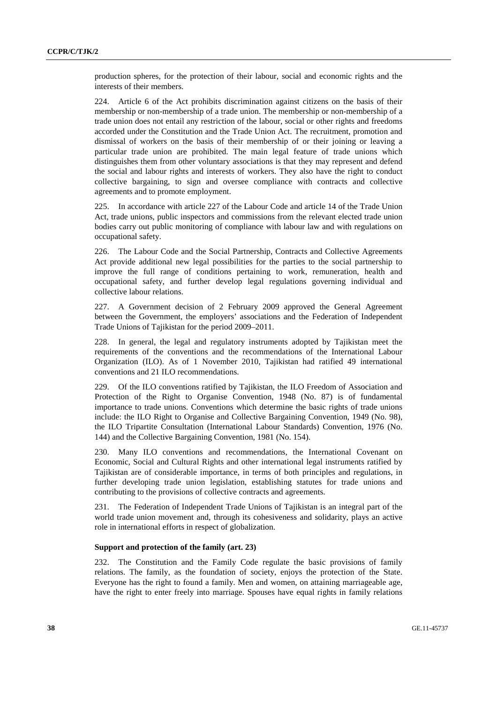production spheres, for the protection of their labour, social and economic rights and the interests of their members.

224. Article 6 of the Act prohibits discrimination against citizens on the basis of their membership or non-membership of a trade union. The membership or non-membership of a trade union does not entail any restriction of the labour, social or other rights and freedoms accorded under the Constitution and the Trade Union Act. The recruitment, promotion and dismissal of workers on the basis of their membership of or their joining or leaving a particular trade union are prohibited. The main legal feature of trade unions which distinguishes them from other voluntary associations is that they may represent and defend the social and labour rights and interests of workers. They also have the right to conduct collective bargaining, to sign and oversee compliance with contracts and collective agreements and to promote employment.

225. In accordance with article 227 of the Labour Code and article 14 of the Trade Union Act, trade unions, public inspectors and commissions from the relevant elected trade union bodies carry out public monitoring of compliance with labour law and with regulations on occupational safety.

226. The Labour Code and the Social Partnership, Contracts and Collective Agreements Act provide additional new legal possibilities for the parties to the social partnership to improve the full range of conditions pertaining to work, remuneration, health and occupational safety, and further develop legal regulations governing individual and collective labour relations.

227. A Government decision of 2 February 2009 approved the General Agreement between the Government, the employers' associations and the Federation of Independent Trade Unions of Tajikistan for the period 2009–2011.

228. In general, the legal and regulatory instruments adopted by Tajikistan meet the requirements of the conventions and the recommendations of the International Labour Organization (ILO). As of 1 November 2010, Tajikistan had ratified 49 international conventions and 21 ILO recommendations.

229. Of the ILO conventions ratified by Tajikistan, the ILO Freedom of Association and Protection of the Right to Organise Convention, 1948 (No. 87) is of fundamental importance to trade unions. Conventions which determine the basic rights of trade unions include: the ILO Right to Organise and Collective Bargaining Convention, 1949 (No. 98), the ILO Tripartite Consultation (International Labour Standards) Convention, 1976 (No. 144) and the Collective Bargaining Convention, 1981 (No. 154).

230. Many ILO conventions and recommendations, the International Covenant on Economic, Social and Cultural Rights and other international legal instruments ratified by Tajikistan are of considerable importance, in terms of both principles and regulations, in further developing trade union legislation, establishing statutes for trade unions and contributing to the provisions of collective contracts and agreements.

231. The Federation of Independent Trade Unions of Tajikistan is an integral part of the world trade union movement and, through its cohesiveness and solidarity, plays an active role in international efforts in respect of globalization.

#### **Support and protection of the family (art. 23)**

232. The Constitution and the Family Code regulate the basic provisions of family relations. The family, as the foundation of society, enjoys the protection of the State. Everyone has the right to found a family. Men and women, on attaining marriageable age, have the right to enter freely into marriage. Spouses have equal rights in family relations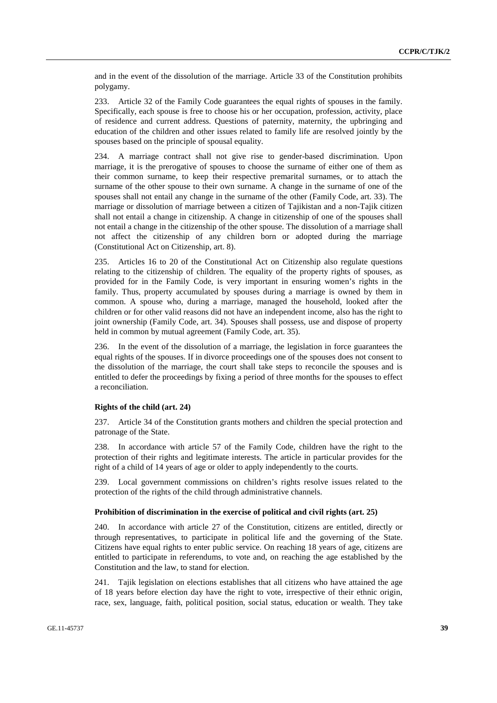and in the event of the dissolution of the marriage. Article 33 of the Constitution prohibits polygamy.

233. Article 32 of the Family Code guarantees the equal rights of spouses in the family. Specifically, each spouse is free to choose his or her occupation, profession, activity, place of residence and current address. Questions of paternity, maternity, the upbringing and education of the children and other issues related to family life are resolved jointly by the spouses based on the principle of spousal equality.

234. A marriage contract shall not give rise to gender-based discrimination. Upon marriage, it is the prerogative of spouses to choose the surname of either one of them as their common surname, to keep their respective premarital surnames, or to attach the surname of the other spouse to their own surname. A change in the surname of one of the spouses shall not entail any change in the surname of the other (Family Code, art. 33). The marriage or dissolution of marriage between a citizen of Tajikistan and a non-Tajik citizen shall not entail a change in citizenship. A change in citizenship of one of the spouses shall not entail a change in the citizenship of the other spouse. The dissolution of a marriage shall not affect the citizenship of any children born or adopted during the marriage (Constitutional Act on Citizenship, art. 8).

235. Articles 16 to 20 of the Constitutional Act on Citizenship also regulate questions relating to the citizenship of children. The equality of the property rights of spouses, as provided for in the Family Code, is very important in ensuring women's rights in the family. Thus, property accumulated by spouses during a marriage is owned by them in common. A spouse who, during a marriage, managed the household, looked after the children or for other valid reasons did not have an independent income, also has the right to joint ownership (Family Code, art. 34). Spouses shall possess, use and dispose of property held in common by mutual agreement (Family Code, art. 35).

In the event of the dissolution of a marriage, the legislation in force guarantees the equal rights of the spouses. If in divorce proceedings one of the spouses does not consent to the dissolution of the marriage, the court shall take steps to reconcile the spouses and is entitled to defer the proceedings by fixing a period of three months for the spouses to effect a reconciliation.

#### **Rights of the child (art. 24)**

237. Article 34 of the Constitution grants mothers and children the special protection and patronage of the State.

238. In accordance with article 57 of the Family Code, children have the right to the protection of their rights and legitimate interests. The article in particular provides for the right of a child of 14 years of age or older to apply independently to the courts.

239. Local government commissions on children's rights resolve issues related to the protection of the rights of the child through administrative channels.

#### **Prohibition of discrimination in the exercise of political and civil rights (art. 25)**

240. In accordance with article 27 of the Constitution, citizens are entitled, directly or through representatives, to participate in political life and the governing of the State. Citizens have equal rights to enter public service. On reaching 18 years of age, citizens are entitled to participate in referendums, to vote and, on reaching the age established by the Constitution and the law, to stand for election.

241. Tajik legislation on elections establishes that all citizens who have attained the age of 18 years before election day have the right to vote, irrespective of their ethnic origin, race, sex, language, faith, political position, social status, education or wealth. They take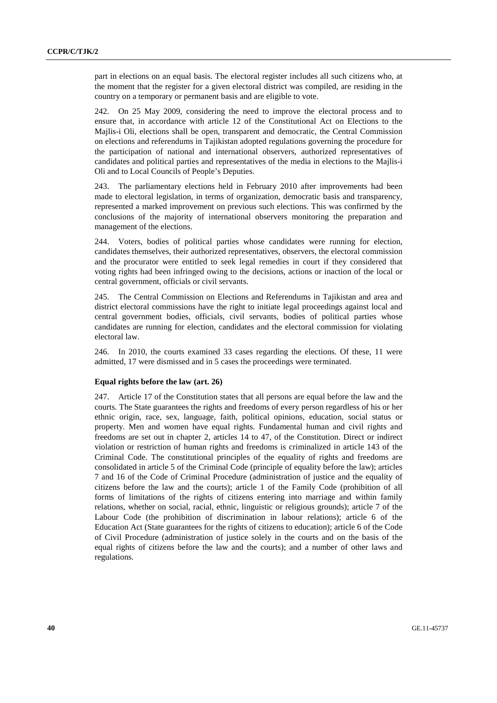part in elections on an equal basis. The electoral register includes all such citizens who, at the moment that the register for a given electoral district was compiled, are residing in the country on a temporary or permanent basis and are eligible to vote.

242. On 25 May 2009, considering the need to improve the electoral process and to ensure that, in accordance with article 12 of the Constitutional Act on Elections to the Majlis-i Oli, elections shall be open, transparent and democratic, the Central Commission on elections and referendums in Tajikistan adopted regulations governing the procedure for the participation of national and international observers, authorized representatives of candidates and political parties and representatives of the media in elections to the Majlis-i Oli and to Local Councils of People's Deputies.

243. The parliamentary elections held in February 2010 after improvements had been made to electoral legislation, in terms of organization, democratic basis and transparency, represented a marked improvement on previous such elections. This was confirmed by the conclusions of the majority of international observers monitoring the preparation and management of the elections.

244. Voters, bodies of political parties whose candidates were running for election, candidates themselves, their authorized representatives, observers, the electoral commission and the procurator were entitled to seek legal remedies in court if they considered that voting rights had been infringed owing to the decisions, actions or inaction of the local or central government, officials or civil servants.

245. The Central Commission on Elections and Referendums in Tajikistan and area and district electoral commissions have the right to initiate legal proceedings against local and central government bodies, officials, civil servants, bodies of political parties whose candidates are running for election, candidates and the electoral commission for violating electoral law.

246. In 2010, the courts examined 33 cases regarding the elections. Of these, 11 were admitted, 17 were dismissed and in 5 cases the proceedings were terminated.

#### **Equal rights before the law (art. 26)**

247. Article 17 of the Constitution states that all persons are equal before the law and the courts. The State guarantees the rights and freedoms of every person regardless of his or her ethnic origin, race, sex, language, faith, political opinions, education, social status or property. Men and women have equal rights. Fundamental human and civil rights and freedoms are set out in chapter 2, articles 14 to 47, of the Constitution. Direct or indirect violation or restriction of human rights and freedoms is criminalized in article 143 of the Criminal Code. The constitutional principles of the equality of rights and freedoms are consolidated in article 5 of the Criminal Code (principle of equality before the law); articles 7 and 16 of the Code of Criminal Procedure (administration of justice and the equality of citizens before the law and the courts); article 1 of the Family Code (prohibition of all forms of limitations of the rights of citizens entering into marriage and within family relations, whether on social, racial, ethnic, linguistic or religious grounds); article 7 of the Labour Code (the prohibition of discrimination in labour relations); article 6 of the Education Act (State guarantees for the rights of citizens to education); article 6 of the Code of Civil Procedure (administration of justice solely in the courts and on the basis of the equal rights of citizens before the law and the courts); and a number of other laws and regulations.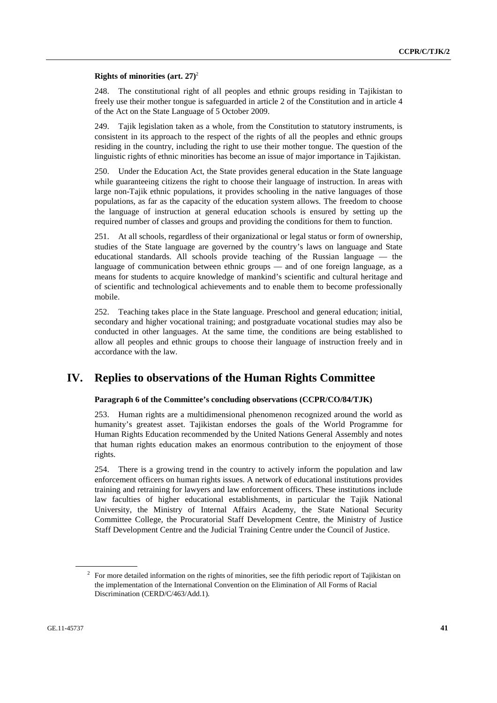### **Rights of minorities (art. 27)**<sup>2</sup>

248. The constitutional right of all peoples and ethnic groups residing in Tajikistan to freely use their mother tongue is safeguarded in article 2 of the Constitution and in article 4 of the Act on the State Language of 5 October 2009.

249. Tajik legislation taken as a whole, from the Constitution to statutory instruments, is consistent in its approach to the respect of the rights of all the peoples and ethnic groups residing in the country, including the right to use their mother tongue. The question of the linguistic rights of ethnic minorities has become an issue of major importance in Tajikistan.

250. Under the Education Act, the State provides general education in the State language while guaranteeing citizens the right to choose their language of instruction. In areas with large non-Tajik ethnic populations, it provides schooling in the native languages of those populations, as far as the capacity of the education system allows. The freedom to choose the language of instruction at general education schools is ensured by setting up the required number of classes and groups and providing the conditions for them to function.

251. At all schools, regardless of their organizational or legal status or form of ownership, studies of the State language are governed by the country's laws on language and State educational standards. All schools provide teaching of the Russian language — the language of communication between ethnic groups — and of one foreign language, as a means for students to acquire knowledge of mankind's scientific and cultural heritage and of scientific and technological achievements and to enable them to become professionally mobile.

252. Teaching takes place in the State language. Preschool and general education; initial, secondary and higher vocational training; and postgraduate vocational studies may also be conducted in other languages. At the same time, the conditions are being established to allow all peoples and ethnic groups to choose their language of instruction freely and in accordance with the law.

## **IV. Replies to observations of the Human Rights Committee**

## **Paragraph 6 of the Committee's concluding observations (CCPR/CO/84/TJK)**

253. Human rights are a multidimensional phenomenon recognized around the world as humanity's greatest asset. Tajikistan endorses the goals of the World Programme for Human Rights Education recommended by the United Nations General Assembly and notes that human rights education makes an enormous contribution to the enjoyment of those rights.

254. There is a growing trend in the country to actively inform the population and law enforcement officers on human rights issues. A network of educational institutions provides training and retraining for lawyers and law enforcement officers. These institutions include law faculties of higher educational establishments, in particular the Tajik National University, the Ministry of Internal Affairs Academy, the State National Security Committee College, the Procuratorial Staff Development Centre, the Ministry of Justice Staff Development Centre and the Judicial Training Centre under the Council of Justice.

 $2^2$  For more detailed information on the rights of minorities, see the fifth periodic report of Tajikistan on the implementation of the International Convention on the Elimination of All Forms of Racial Discrimination (CERD/C/463/Add.1).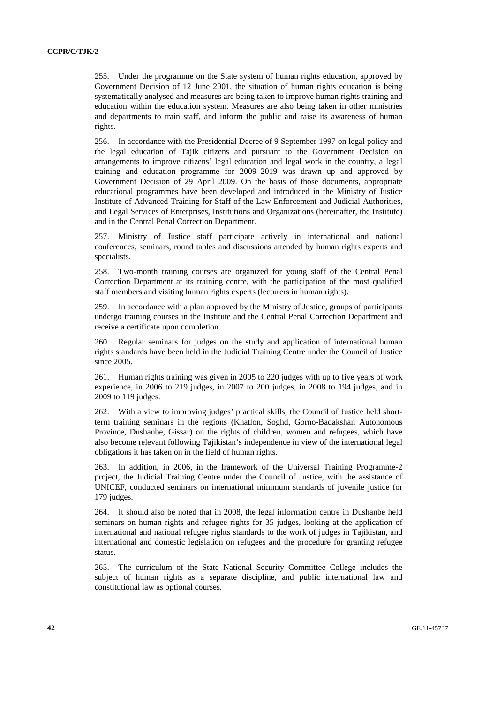255. Under the programme on the State system of human rights education, approved by Government Decision of 12 June 2001, the situation of human rights education is being systematically analysed and measures are being taken to improve human rights training and education within the education system. Measures are also being taken in other ministries and departments to train staff, and inform the public and raise its awareness of human rights.

256. In accordance with the Presidential Decree of 9 September 1997 on legal policy and the legal education of Tajik citizens and pursuant to the Government Decision on arrangements to improve citizens' legal education and legal work in the country, a legal training and education programme for 2009–2019 was drawn up and approved by Government Decision of 29 April 2009. On the basis of those documents, appropriate educational programmes have been developed and introduced in the Ministry of Justice Institute of Advanced Training for Staff of the Law Enforcement and Judicial Authorities, and Legal Services of Enterprises, Institutions and Organizations (hereinafter, the Institute) and in the Central Penal Correction Department.

257. Ministry of Justice staff participate actively in international and national conferences, seminars, round tables and discussions attended by human rights experts and specialists.

258. Two-month training courses are organized for young staff of the Central Penal Correction Department at its training centre, with the participation of the most qualified staff members and visiting human rights experts (lecturers in human rights).

259. In accordance with a plan approved by the Ministry of Justice, groups of participants undergo training courses in the Institute and the Central Penal Correction Department and receive a certificate upon completion.

260. Regular seminars for judges on the study and application of international human rights standards have been held in the Judicial Training Centre under the Council of Justice since 2005.

261. Human rights training was given in 2005 to 220 judges with up to five years of work experience, in 2006 to 219 judges, in 2007 to 200 judges, in 2008 to 194 judges, and in 2009 to 119 judges.

262. With a view to improving judges' practical skills, the Council of Justice held shortterm training seminars in the regions (Khatlon, Soghd, Gorno-Badakshan Autonomous Province, Dushanbe, Gissar) on the rights of children, women and refugees, which have also become relevant following Tajikistan's independence in view of the international legal obligations it has taken on in the field of human rights.

263. In addition, in 2006, in the framework of the Universal Training Programme-2 project, the Judicial Training Centre under the Council of Justice, with the assistance of UNICEF, conducted seminars on international minimum standards of juvenile justice for 179 judges.

264. It should also be noted that in 2008, the legal information centre in Dushanbe held seminars on human rights and refugee rights for 35 judges, looking at the application of international and national refugee rights standards to the work of judges in Tajikistan, and international and domestic legislation on refugees and the procedure for granting refugee status.

265. The curriculum of the State National Security Committee College includes the subject of human rights as a separate discipline, and public international law and constitutional law as optional courses.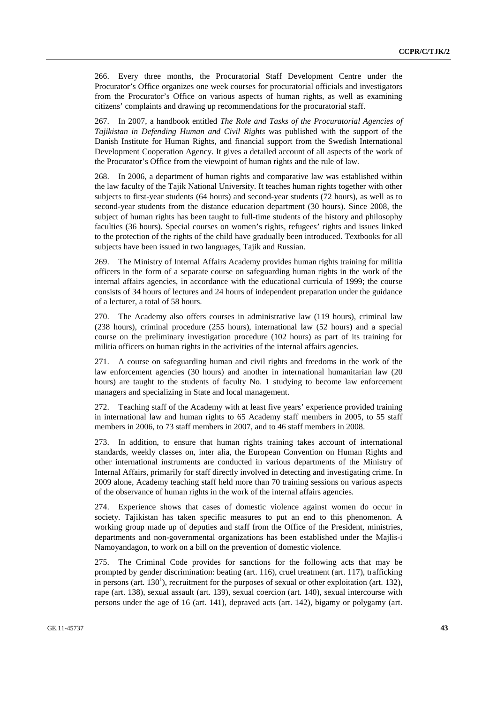266. Every three months, the Procuratorial Staff Development Centre under the Procurator's Office organizes one week courses for procuratorial officials and investigators from the Procurator's Office on various aspects of human rights, as well as examining citizens' complaints and drawing up recommendations for the procuratorial staff.

267. In 2007, a handbook entitled *The Role and Tasks of the Procuratorial Agencies of Tajikistan in Defending Human and Civil Rights* was published with the support of the Danish Institute for Human Rights, and financial support from the Swedish International Development Cooperation Agency. It gives a detailed account of all aspects of the work of the Procurator's Office from the viewpoint of human rights and the rule of law.

268. In 2006, a department of human rights and comparative law was established within the law faculty of the Tajik National University. It teaches human rights together with other subjects to first-year students (64 hours) and second-year students (72 hours), as well as to second-year students from the distance education department (30 hours). Since 2008, the subject of human rights has been taught to full-time students of the history and philosophy faculties (36 hours). Special courses on women's rights, refugees' rights and issues linked to the protection of the rights of the child have gradually been introduced. Textbooks for all subjects have been issued in two languages, Tajik and Russian.

269. The Ministry of Internal Affairs Academy provides human rights training for militia officers in the form of a separate course on safeguarding human rights in the work of the internal affairs agencies, in accordance with the educational curricula of 1999; the course consists of 34 hours of lectures and 24 hours of independent preparation under the guidance of a lecturer, a total of 58 hours.

270. The Academy also offers courses in administrative law (119 hours), criminal law (238 hours), criminal procedure (255 hours), international law (52 hours) and a special course on the preliminary investigation procedure (102 hours) as part of its training for militia officers on human rights in the activities of the internal affairs agencies.

271. A course on safeguarding human and civil rights and freedoms in the work of the law enforcement agencies (30 hours) and another in international humanitarian law (20 hours) are taught to the students of faculty No. 1 studying to become law enforcement managers and specializing in State and local management.

272. Teaching staff of the Academy with at least five years' experience provided training in international law and human rights to 65 Academy staff members in 2005, to 55 staff members in 2006, to 73 staff members in 2007, and to 46 staff members in 2008.

273. In addition, to ensure that human rights training takes account of international standards, weekly classes on, inter alia, the European Convention on Human Rights and other international instruments are conducted in various departments of the Ministry of Internal Affairs, primarily for staff directly involved in detecting and investigating crime. In 2009 alone, Academy teaching staff held more than 70 training sessions on various aspects of the observance of human rights in the work of the internal affairs agencies.

274. Experience shows that cases of domestic violence against women do occur in society. Tajikistan has taken specific measures to put an end to this phenomenon. A working group made up of deputies and staff from the Office of the President, ministries, departments and non-governmental organizations has been established under the Majlis-i Namoyandagon, to work on a bill on the prevention of domestic violence.

275. The Criminal Code provides for sanctions for the following acts that may be prompted by gender discrimination: beating (art. 116), cruel treatment (art. 117), trafficking in persons (art.  $130<sup>1</sup>$ ), recruitment for the purposes of sexual or other exploitation (art. 132), rape (art. 138), sexual assault (art. 139), sexual coercion (art. 140), sexual intercourse with persons under the age of 16 (art. 141), depraved acts (art. 142), bigamy or polygamy (art.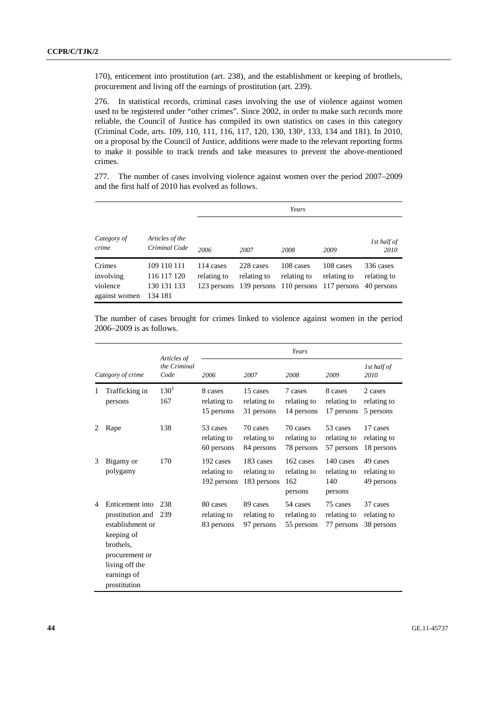170), enticement into prostitution (art. 238), and the establishment or keeping of brothels, procurement and living off the earnings of prostitution (art. 239).

276. In statistical records, criminal cases involving the use of violence against women used to be registered under "other crimes". Since 2002, in order to make such records more reliable, the Council of Justice has compiled its own statistics on cases in this category (Criminal Code, arts. 109, 110, 111, 116, 117, 120, 130, 130<sup>1</sup>, 133, 134 and 181). In 2010, on a proposal by the Council of Justice, additions were made to the relevant reporting forms to make it possible to track trends and take measures to prevent the above-mentioned crimes.

277. The number of cases involving violence against women over the period 2007–2009 and the first half of 2010 has evolved as follows.

|                                                  |                                                      | Years                                       |                          |                          |                                                                             |                                        |  |
|--------------------------------------------------|------------------------------------------------------|---------------------------------------------|--------------------------|--------------------------|-----------------------------------------------------------------------------|----------------------------------------|--|
| Category of<br>crime                             | Articles of the<br>Criminal Code                     | 1st half of<br>2006<br>2007<br>2008<br>2009 |                          |                          |                                                                             |                                        |  |
| Crimes<br>involving<br>violence<br>against women | 109 110 111<br>116 117 120<br>130 131 133<br>134 181 | 114 cases<br>relating to                    | 228 cases<br>relating to | 108 cases<br>relating to | 108 cases<br>relating to<br>123 persons 139 persons 110 persons 117 persons | 336 cases<br>relating to<br>40 persons |  |

The number of cases brought for crimes linked to violence against women in the period 2006–2009 is as follows.

| Category of crime |                                                                                                                                                       | Articles of<br>the Criminal<br>Code | Years                                   |                                         |                                            |                                            |                                       |  |
|-------------------|-------------------------------------------------------------------------------------------------------------------------------------------------------|-------------------------------------|-----------------------------------------|-----------------------------------------|--------------------------------------------|--------------------------------------------|---------------------------------------|--|
|                   |                                                                                                                                                       |                                     | 2006                                    | 2007                                    | 2008                                       | 2009                                       | 1st half of<br>2010                   |  |
| 1                 | Trafficking in<br>persons                                                                                                                             | $130^1$<br>167                      | 8 cases<br>relating to<br>15 persons    | 15 cases<br>relating to<br>31 persons   | 7 cases<br>relating to<br>14 persons       | 8 cases<br>relating to<br>17 persons       | 2 cases<br>relating to<br>5 persons   |  |
| 2                 | Rape                                                                                                                                                  | 138                                 | 53 cases<br>relating to<br>60 persons   | 70 cases<br>relating to<br>84 persons   | 70 cases<br>relating to<br>78 persons      | 53 cases<br>relating to<br>57 persons      | 17 cases<br>relating to<br>18 persons |  |
| 3                 | Bigamy or<br>polygamy                                                                                                                                 | 170                                 | 192 cases<br>relating to<br>192 persons | 183 cases<br>relating to<br>183 persons | 162 cases<br>relating to<br>162<br>persons | 140 cases<br>relating to<br>140<br>persons | 49 cases<br>relating to<br>49 persons |  |
| 4                 | Enticement into<br>prostitution and<br>establishment or<br>keeping of<br>brothels.<br>procurement or<br>living off the<br>earnings of<br>prostitution | 238<br>239                          | 80 cases<br>relating to<br>83 persons   | 89 cases<br>relating to<br>97 persons   | 54 cases<br>relating to<br>55 persons      | 75 cases<br>relating to<br>77 persons      | 37 cases<br>relating to<br>38 persons |  |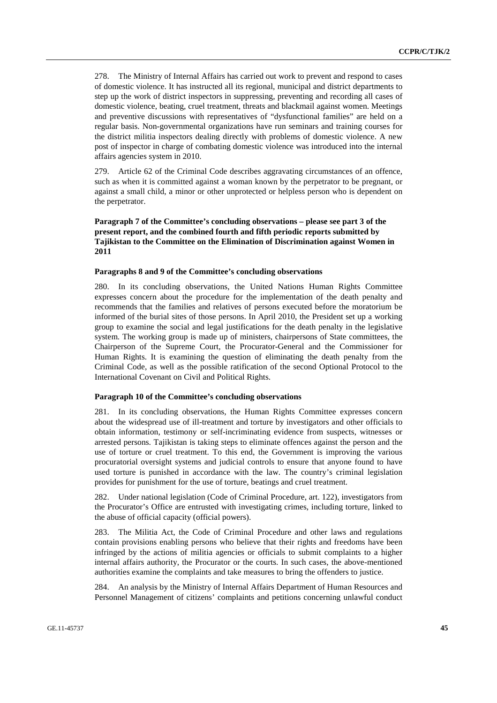278. The Ministry of Internal Affairs has carried out work to prevent and respond to cases of domestic violence. It has instructed all its regional, municipal and district departments to step up the work of district inspectors in suppressing, preventing and recording all cases of domestic violence, beating, cruel treatment, threats and blackmail against women. Meetings and preventive discussions with representatives of "dysfunctional families" are held on a regular basis. Non-governmental organizations have run seminars and training courses for the district militia inspectors dealing directly with problems of domestic violence. A new post of inspector in charge of combating domestic violence was introduced into the internal affairs agencies system in 2010.

279. Article 62 of the Criminal Code describes aggravating circumstances of an offence, such as when it is committed against a woman known by the perpetrator to be pregnant, or against a small child, a minor or other unprotected or helpless person who is dependent on the perpetrator.

## **Paragraph 7 of the Committee's concluding observations – please see part 3 of the present report, and the combined fourth and fifth periodic reports submitted by Tajikistan to the Committee on the Elimination of Discrimination against Women in 2011**

#### **Paragraphs 8 and 9 of the Committee's concluding observations**

280. In its concluding observations, the United Nations Human Rights Committee expresses concern about the procedure for the implementation of the death penalty and recommends that the families and relatives of persons executed before the moratorium be informed of the burial sites of those persons. In April 2010, the President set up a working group to examine the social and legal justifications for the death penalty in the legislative system. The working group is made up of ministers, chairpersons of State committees, the Chairperson of the Supreme Court, the Procurator-General and the Commissioner for Human Rights. It is examining the question of eliminating the death penalty from the Criminal Code, as well as the possible ratification of the second Optional Protocol to the International Covenant on Civil and Political Rights.

#### **Paragraph 10 of the Committee's concluding observations**

281. In its concluding observations, the Human Rights Committee expresses concern about the widespread use of ill-treatment and torture by investigators and other officials to obtain information, testimony or self-incriminating evidence from suspects, witnesses or arrested persons. Tajikistan is taking steps to eliminate offences against the person and the use of torture or cruel treatment. To this end, the Government is improving the various procuratorial oversight systems and judicial controls to ensure that anyone found to have used torture is punished in accordance with the law. The country's criminal legislation provides for punishment for the use of torture, beatings and cruel treatment.

282. Under national legislation (Code of Criminal Procedure, art. 122), investigators from the Procurator's Office are entrusted with investigating crimes, including torture, linked to the abuse of official capacity (official powers).

283. The Militia Act, the Code of Criminal Procedure and other laws and regulations contain provisions enabling persons who believe that their rights and freedoms have been infringed by the actions of militia agencies or officials to submit complaints to a higher internal affairs authority, the Procurator or the courts. In such cases, the above-mentioned authorities examine the complaints and take measures to bring the offenders to justice.

284. An analysis by the Ministry of Internal Affairs Department of Human Resources and Personnel Management of citizens' complaints and petitions concerning unlawful conduct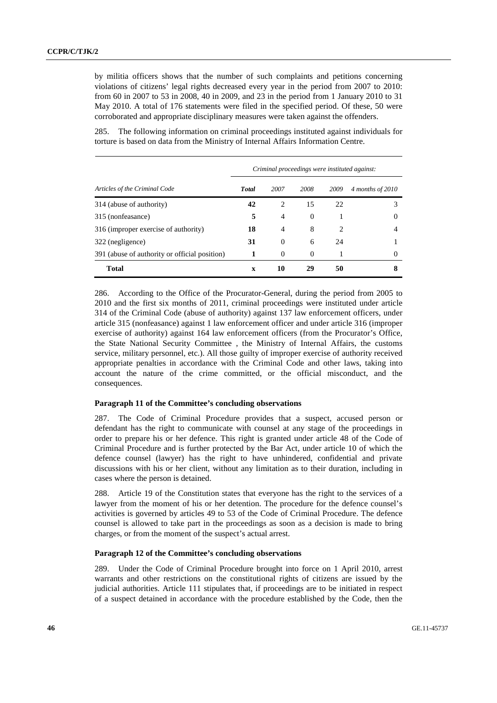by militia officers shows that the number of such complaints and petitions concerning violations of citizens' legal rights decreased every year in the period from 2007 to 2010: from 60 in 2007 to 53 in 2008, 40 in 2009, and 23 in the period from 1 January 2010 to 31 May 2010. A total of 176 statements were filed in the specified period. Of these, 50 were corroborated and appropriate disciplinary measures were taken against the offenders.

285. The following information on criminal proceedings instituted against individuals for torture is based on data from the Ministry of Internal Affairs Information Centre.

|                                               | Criminal proceedings were instituted against: |                |          |                               |                  |
|-----------------------------------------------|-----------------------------------------------|----------------|----------|-------------------------------|------------------|
| Articles of the Criminal Code                 | <b>Total</b>                                  | 2007           | 2008     | 2009                          | 4 months of 2010 |
| 314 (abuse of authority)                      | 42                                            | $\mathfrak{D}$ | 15       | 22.                           |                  |
| 315 (nonfeasance)                             | 5                                             | $\overline{4}$ | $\Omega$ |                               | $\theta$         |
| 316 (improper exercise of authority)          | 18                                            | $\overline{4}$ | 8        | $\mathfrak{D}_{\mathfrak{p}}$ | 4                |
| 322 (negligence)                              | 31                                            | $\theta$       | 6        | 24                            |                  |
| 391 (abuse of authority or official position) |                                               | $\theta$       | $\Omega$ |                               |                  |
| Total                                         | X                                             | 10             | 29       | 50                            |                  |

286. According to the Office of the Procurator-General, during the period from 2005 to 2010 and the first six months of 2011, criminal proceedings were instituted under article 314 of the Criminal Code (abuse of authority) against 137 law enforcement officers, under article 315 (nonfeasance) against 1 law enforcement officer and under article 316 (improper exercise of authority) against 164 law enforcement officers (from the Procurator's Office, the State National Security Committee , the Ministry of Internal Affairs, the customs service, military personnel, etc.). All those guilty of improper exercise of authority received appropriate penalties in accordance with the Criminal Code and other laws, taking into account the nature of the crime committed, or the official misconduct, and the consequences.

#### **Paragraph 11 of the Committee's concluding observations**

287. The Code of Criminal Procedure provides that a suspect, accused person or defendant has the right to communicate with counsel at any stage of the proceedings in order to prepare his or her defence. This right is granted under article 48 of the Code of Criminal Procedure and is further protected by the Bar Act, under article 10 of which the defence counsel (lawyer) has the right to have unhindered, confidential and private discussions with his or her client, without any limitation as to their duration, including in cases where the person is detained.

288. Article 19 of the Constitution states that everyone has the right to the services of a lawyer from the moment of his or her detention. The procedure for the defence counsel's activities is governed by articles 49 to 53 of the Code of Criminal Procedure. The defence counsel is allowed to take part in the proceedings as soon as a decision is made to bring charges, or from the moment of the suspect's actual arrest.

### **Paragraph 12 of the Committee's concluding observations**

289. Under the Code of Criminal Procedure brought into force on 1 April 2010, arrest warrants and other restrictions on the constitutional rights of citizens are issued by the judicial authorities. Article 111 stipulates that, if proceedings are to be initiated in respect of a suspect detained in accordance with the procedure established by the Code, then the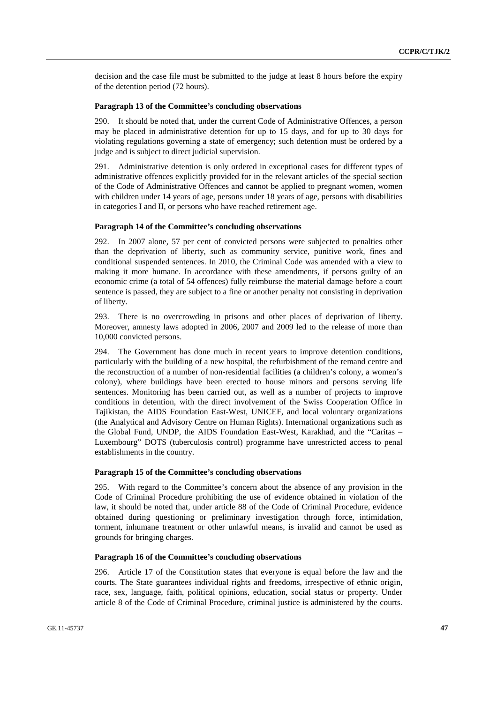decision and the case file must be submitted to the judge at least 8 hours before the expiry of the detention period (72 hours).

#### **Paragraph 13 of the Committee's concluding observations**

290. It should be noted that, under the current Code of Administrative Offences, a person may be placed in administrative detention for up to 15 days, and for up to 30 days for violating regulations governing a state of emergency; such detention must be ordered by a judge and is subject to direct judicial supervision.

291. Administrative detention is only ordered in exceptional cases for different types of administrative offences explicitly provided for in the relevant articles of the special section of the Code of Administrative Offences and cannot be applied to pregnant women, women with children under 14 years of age, persons under 18 years of age, persons with disabilities in categories I and II, or persons who have reached retirement age.

#### **Paragraph 14 of the Committee's concluding observations**

292. In 2007 alone, 57 per cent of convicted persons were subjected to penalties other than the deprivation of liberty, such as community service, punitive work, fines and conditional suspended sentences. In 2010, the Criminal Code was amended with a view to making it more humane. In accordance with these amendments, if persons guilty of an economic crime (a total of 54 offences) fully reimburse the material damage before a court sentence is passed, they are subject to a fine or another penalty not consisting in deprivation of liberty.

293. There is no overcrowding in prisons and other places of deprivation of liberty. Moreover, amnesty laws adopted in 2006, 2007 and 2009 led to the release of more than 10,000 convicted persons.

294. The Government has done much in recent years to improve detention conditions, particularly with the building of a new hospital, the refurbishment of the remand centre and the reconstruction of a number of non-residential facilities (a children's colony, a women's colony), where buildings have been erected to house minors and persons serving life sentences. Monitoring has been carried out, as well as a number of projects to improve conditions in detention, with the direct involvement of the Swiss Cooperation Office in Tajikistan, the AIDS Foundation East-West, UNICEF, and local voluntary organizations (the Analytical and Advisory Centre on Human Rights). International organizations such as the Global Fund, UNDP, the AIDS Foundation East-West, Karakhad, and the "Caritas – Luxembourg" DOTS (tuberculosis control) programme have unrestricted access to penal establishments in the country.

#### **Paragraph 15 of the Committee's concluding observations**

295. With regard to the Committee's concern about the absence of any provision in the Code of Criminal Procedure prohibiting the use of evidence obtained in violation of the law, it should be noted that, under article 88 of the Code of Criminal Procedure, evidence obtained during questioning or preliminary investigation through force, intimidation, torment, inhumane treatment or other unlawful means, is invalid and cannot be used as grounds for bringing charges.

#### **Paragraph 16 of the Committee's concluding observations**

296. Article 17 of the Constitution states that everyone is equal before the law and the courts. The State guarantees individual rights and freedoms, irrespective of ethnic origin, race, sex, language, faith, political opinions, education, social status or property. Under article 8 of the Code of Criminal Procedure, criminal justice is administered by the courts.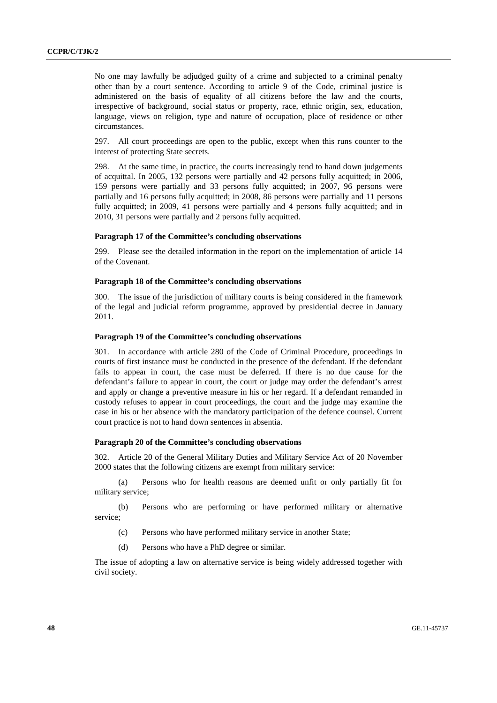No one may lawfully be adjudged guilty of a crime and subjected to a criminal penalty other than by a court sentence. According to article 9 of the Code, criminal justice is administered on the basis of equality of all citizens before the law and the courts, irrespective of background, social status or property, race, ethnic origin, sex, education, language, views on religion, type and nature of occupation, place of residence or other circumstances.

297. All court proceedings are open to the public, except when this runs counter to the interest of protecting State secrets.

298. At the same time, in practice, the courts increasingly tend to hand down judgements of acquittal. In 2005, 132 persons were partially and 42 persons fully acquitted; in 2006, 159 persons were partially and 33 persons fully acquitted; in 2007, 96 persons were partially and 16 persons fully acquitted; in 2008, 86 persons were partially and 11 persons fully acquitted; in 2009, 41 persons were partially and 4 persons fully acquitted; and in 2010, 31 persons were partially and 2 persons fully acquitted.

#### **Paragraph 17 of the Committee's concluding observations**

299. Please see the detailed information in the report on the implementation of article 14 of the Covenant.

### **Paragraph 18 of the Committee's concluding observations**

300. The issue of the jurisdiction of military courts is being considered in the framework of the legal and judicial reform programme, approved by presidential decree in January 2011.

#### **Paragraph 19 of the Committee's concluding observations**

301. In accordance with article 280 of the Code of Criminal Procedure, proceedings in courts of first instance must be conducted in the presence of the defendant. If the defendant fails to appear in court, the case must be deferred. If there is no due cause for the defendant's failure to appear in court, the court or judge may order the defendant's arrest and apply or change a preventive measure in his or her regard. If a defendant remanded in custody refuses to appear in court proceedings, the court and the judge may examine the case in his or her absence with the mandatory participation of the defence counsel. Current court practice is not to hand down sentences in absentia.

#### **Paragraph 20 of the Committee's concluding observations**

302. Article 20 of the General Military Duties and Military Service Act of 20 November 2000 states that the following citizens are exempt from military service:

(a) Persons who for health reasons are deemed unfit or only partially fit for military service;

(b) Persons who are performing or have performed military or alternative service;

- (c) Persons who have performed military service in another State;
- (d) Persons who have a PhD degree or similar.

The issue of adopting a law on alternative service is being widely addressed together with civil society.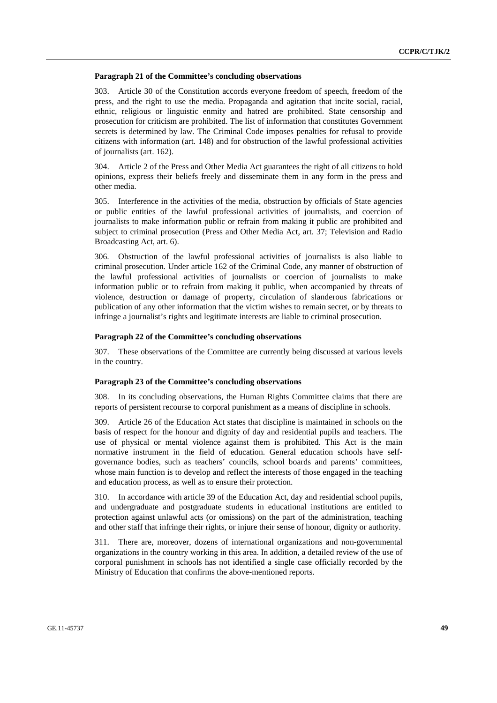#### **Paragraph 21 of the Committee's concluding observations**

303. Article 30 of the Constitution accords everyone freedom of speech, freedom of the press, and the right to use the media. Propaganda and agitation that incite social, racial, ethnic, religious or linguistic enmity and hatred are prohibited. State censorship and prosecution for criticism are prohibited. The list of information that constitutes Government secrets is determined by law. The Criminal Code imposes penalties for refusal to provide citizens with information (art. 148) and for obstruction of the lawful professional activities of journalists (art. 162).

304. Article 2 of the Press and Other Media Act guarantees the right of all citizens to hold opinions, express their beliefs freely and disseminate them in any form in the press and other media.

305. Interference in the activities of the media, obstruction by officials of State agencies or public entities of the lawful professional activities of journalists, and coercion of journalists to make information public or refrain from making it public are prohibited and subject to criminal prosecution (Press and Other Media Act, art. 37; Television and Radio Broadcasting Act, art. 6).

306. Obstruction of the lawful professional activities of journalists is also liable to criminal prosecution. Under article 162 of the Criminal Code, any manner of obstruction of the lawful professional activities of journalists or coercion of journalists to make information public or to refrain from making it public, when accompanied by threats of violence, destruction or damage of property, circulation of slanderous fabrications or publication of any other information that the victim wishes to remain secret, or by threats to infringe a journalist's rights and legitimate interests are liable to criminal prosecution.

#### **Paragraph 22 of the Committee's concluding observations**

307. These observations of the Committee are currently being discussed at various levels in the country.

#### **Paragraph 23 of the Committee's concluding observations**

308. In its concluding observations, the Human Rights Committee claims that there are reports of persistent recourse to corporal punishment as a means of discipline in schools.

309. Article 26 of the Education Act states that discipline is maintained in schools on the basis of respect for the honour and dignity of day and residential pupils and teachers. The use of physical or mental violence against them is prohibited. This Act is the main normative instrument in the field of education. General education schools have selfgovernance bodies, such as teachers' councils, school boards and parents' committees, whose main function is to develop and reflect the interests of those engaged in the teaching and education process, as well as to ensure their protection.

310. In accordance with article 39 of the Education Act, day and residential school pupils, and undergraduate and postgraduate students in educational institutions are entitled to protection against unlawful acts (or omissions) on the part of the administration, teaching and other staff that infringe their rights, or injure their sense of honour, dignity or authority.

311. There are, moreover, dozens of international organizations and non-governmental organizations in the country working in this area. In addition, a detailed review of the use of corporal punishment in schools has not identified a single case officially recorded by the Ministry of Education that confirms the above-mentioned reports.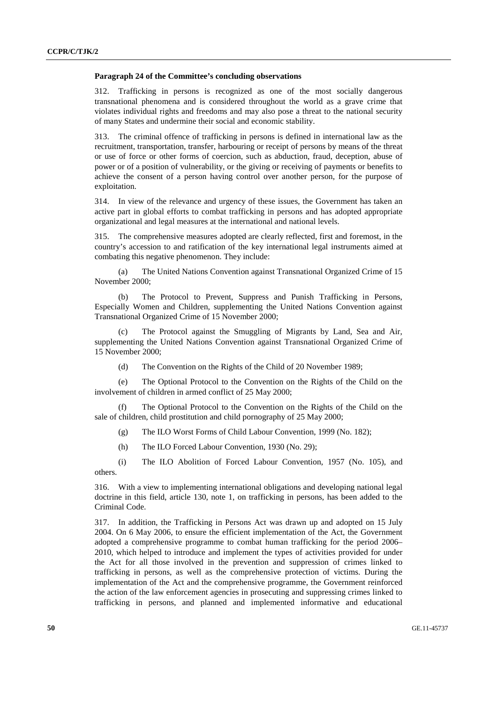#### **Paragraph 24 of the Committee's concluding observations**

312. Trafficking in persons is recognized as one of the most socially dangerous transnational phenomena and is considered throughout the world as a grave crime that violates individual rights and freedoms and may also pose a threat to the national security of many States and undermine their social and economic stability.

313. The criminal offence of trafficking in persons is defined in international law as the recruitment, transportation, transfer, harbouring or receipt of persons by means of the threat or use of force or other forms of coercion, such as abduction, fraud, deception, abuse of power or of a position of vulnerability, or the giving or receiving of payments or benefits to achieve the consent of a person having control over another person, for the purpose of exploitation.

314. In view of the relevance and urgency of these issues, the Government has taken an active part in global efforts to combat trafficking in persons and has adopted appropriate organizational and legal measures at the international and national levels.

315. The comprehensive measures adopted are clearly reflected, first and foremost, in the country's accession to and ratification of the key international legal instruments aimed at combating this negative phenomenon. They include:

(a) The United Nations Convention against Transnational Organized Crime of 15 November 2000;

(b) The Protocol to Prevent, Suppress and Punish Trafficking in Persons, Especially Women and Children, supplementing the United Nations Convention against Transnational Organized Crime of 15 November 2000;

(c) The Protocol against the Smuggling of Migrants by Land, Sea and Air, supplementing the United Nations Convention against Transnational Organized Crime of 15 November 2000;

(d) The Convention on the Rights of the Child of 20 November 1989;

(e) The Optional Protocol to the Convention on the Rights of the Child on the involvement of children in armed conflict of 25 May 2000;

(f) The Optional Protocol to the Convention on the Rights of the Child on the sale of children, child prostitution and child pornography of 25 May 2000;

(g) The ILO Worst Forms of Child Labour Convention, 1999 (No. 182);

(h) The ILO Forced Labour Convention, 1930 (No. 29);

(i) The ILO Abolition of Forced Labour Convention, 1957 (No. 105), and others.

316. With a view to implementing international obligations and developing national legal doctrine in this field, article 130, note 1, on trafficking in persons, has been added to the Criminal Code.

317. In addition, the Trafficking in Persons Act was drawn up and adopted on 15 July 2004. On 6 May 2006, to ensure the efficient implementation of the Act, the Government adopted a comprehensive programme to combat human trafficking for the period 2006– 2010, which helped to introduce and implement the types of activities provided for under the Act for all those involved in the prevention and suppression of crimes linked to trafficking in persons, as well as the comprehensive protection of victims. During the implementation of the Act and the comprehensive programme, the Government reinforced the action of the law enforcement agencies in prosecuting and suppressing crimes linked to trafficking in persons, and planned and implemented informative and educational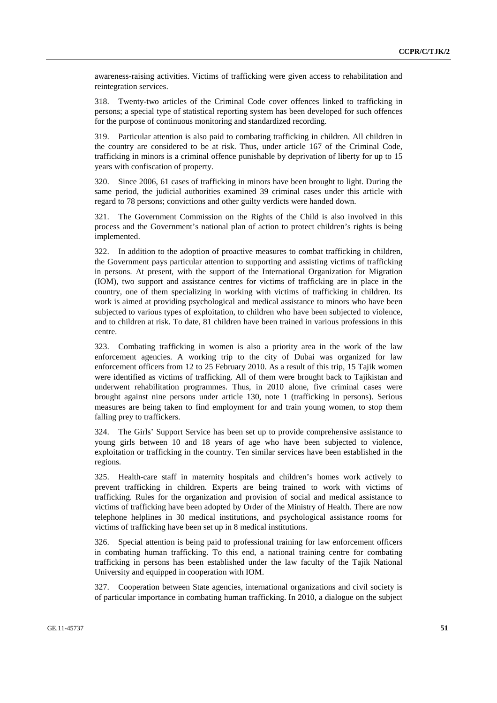awareness-raising activities. Victims of trafficking were given access to rehabilitation and reintegration services.

318. Twenty-two articles of the Criminal Code cover offences linked to trafficking in persons; a special type of statistical reporting system has been developed for such offences for the purpose of continuous monitoring and standardized recording.

319. Particular attention is also paid to combating trafficking in children. All children in the country are considered to be at risk. Thus, under article 167 of the Criminal Code, trafficking in minors is a criminal offence punishable by deprivation of liberty for up to 15 years with confiscation of property.

320. Since 2006, 61 cases of trafficking in minors have been brought to light. During the same period, the judicial authorities examined 39 criminal cases under this article with regard to 78 persons; convictions and other guilty verdicts were handed down.

321. The Government Commission on the Rights of the Child is also involved in this process and the Government's national plan of action to protect children's rights is being implemented.

322. In addition to the adoption of proactive measures to combat trafficking in children, the Government pays particular attention to supporting and assisting victims of trafficking in persons. At present, with the support of the International Organization for Migration (IOM), two support and assistance centres for victims of trafficking are in place in the country, one of them specializing in working with victims of trafficking in children. Its work is aimed at providing psychological and medical assistance to minors who have been subjected to various types of exploitation, to children who have been subjected to violence, and to children at risk. To date, 81 children have been trained in various professions in this centre.

323. Combating trafficking in women is also a priority area in the work of the law enforcement agencies. A working trip to the city of Dubai was organized for law enforcement officers from 12 to 25 February 2010. As a result of this trip, 15 Tajik women were identified as victims of trafficking. All of them were brought back to Tajikistan and underwent rehabilitation programmes. Thus, in 2010 alone, five criminal cases were brought against nine persons under article 130, note 1 (trafficking in persons). Serious measures are being taken to find employment for and train young women, to stop them falling prey to traffickers.

324. The Girls' Support Service has been set up to provide comprehensive assistance to young girls between 10 and 18 years of age who have been subjected to violence, exploitation or trafficking in the country. Ten similar services have been established in the regions.

325. Health-care staff in maternity hospitals and children's homes work actively to prevent trafficking in children. Experts are being trained to work with victims of trafficking. Rules for the organization and provision of social and medical assistance to victims of trafficking have been adopted by Order of the Ministry of Health. There are now telephone helplines in 30 medical institutions, and psychological assistance rooms for victims of trafficking have been set up in 8 medical institutions.

326. Special attention is being paid to professional training for law enforcement officers in combating human trafficking. To this end, a national training centre for combating trafficking in persons has been established under the law faculty of the Tajik National University and equipped in cooperation with IOM.

327. Cooperation between State agencies, international organizations and civil society is of particular importance in combating human trafficking. In 2010, a dialogue on the subject